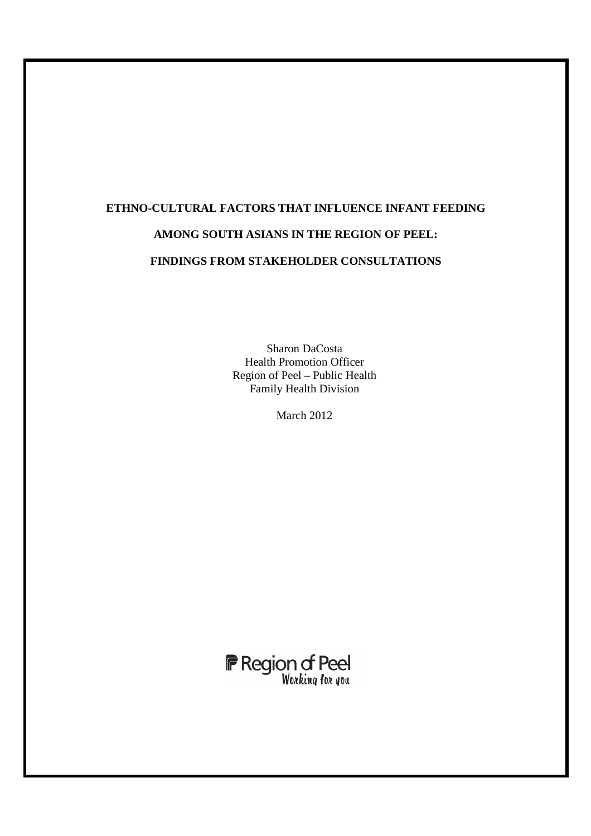# **ETHNO-CULTURAL FACTORS THAT INFLUENCE INFANT FEEDING AMONG SOUTH ASIANS IN THE REGION OF PEEL: FINDINGS FROM STAKEHOLDER CONSULTATIONS**

Sharon DaCosta Health Promotion Officer Region of Peel – Public Health Family Health Division

March 2012



L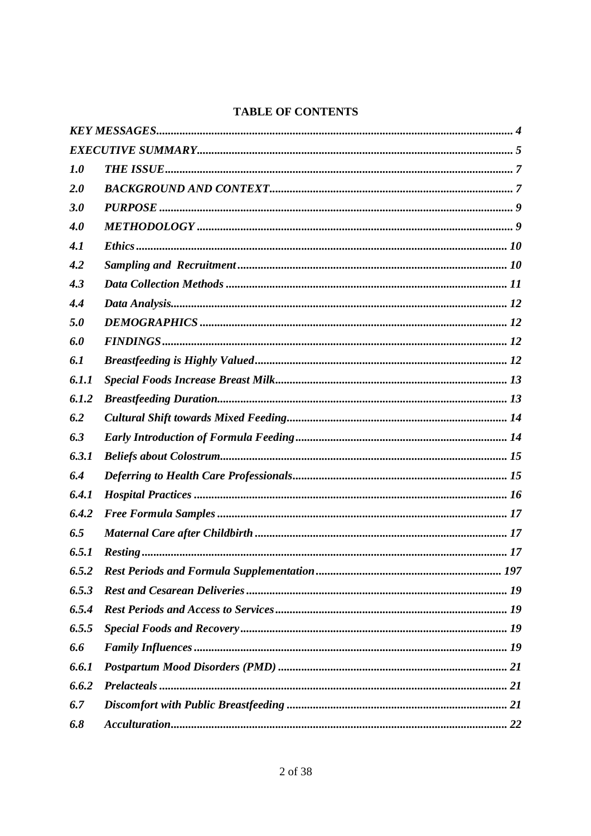# **TABLE OF CONTENTS**

| 1.0   |  |
|-------|--|
| 2.0   |  |
| 3.0   |  |
| 4.0   |  |
| 4.1   |  |
| 4.2   |  |
| 4.3   |  |
| 4.4   |  |
| 5.0   |  |
| 6.0   |  |
| 6.1   |  |
| 6.1.1 |  |
| 6.1.2 |  |
| 6.2   |  |
| 6.3   |  |
| 6.3.1 |  |
| 6.4   |  |
| 6.4.1 |  |
| 6.4.2 |  |
| 6.5   |  |
| 6.5.1 |  |
| 6.5.2 |  |
| 6.5.3 |  |
| 6.5.4 |  |
| 6.5.5 |  |
| 6.6   |  |
| 6.6.1 |  |
| 6.6.2 |  |
| 6.7   |  |
| 6.8   |  |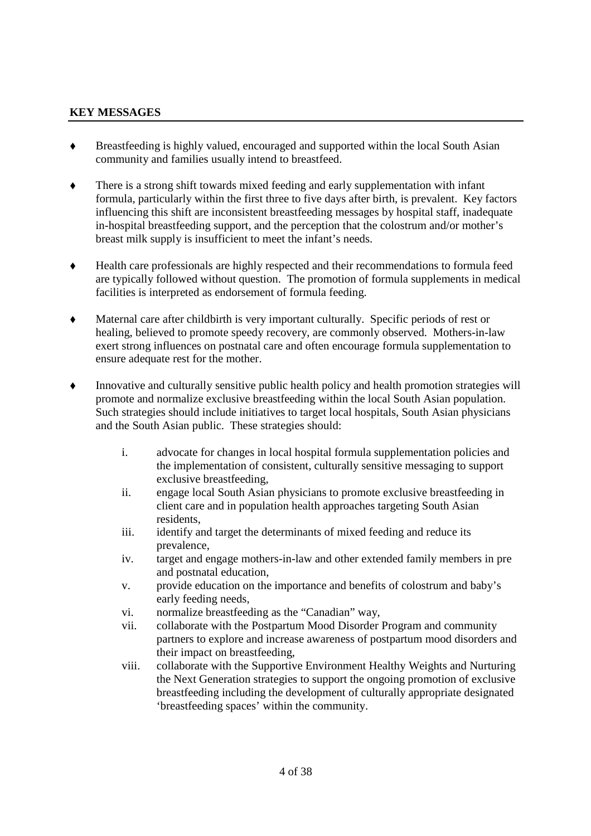#### **KEY MESSAGES**

- Breastfeeding is highly valued, encouraged and supported within the local South Asian community and families usually intend to breastfeed.
- There is a strong shift towards mixed feeding and early supplementation with infant formula, particularly within the first three to five days after birth, is prevalent. Key factors influencing this shift are inconsistent breastfeeding messages by hospital staff, inadequate in-hospital breastfeeding support, and the perception that the colostrum and/or mother's breast milk supply is insufficient to meet the infant's needs.
- Health care professionals are highly respected and their recommendations to formula feed are typically followed without question. The promotion of formula supplements in medical facilities is interpreted as endorsement of formula feeding.
- Maternal care after childbirth is very important culturally. Specific periods of rest or healing, believed to promote speedy recovery, are commonly observed. Mothers-in-law exert strong influences on postnatal care and often encourage formula supplementation to ensure adequate rest for the mother.
- Innovative and culturally sensitive public health policy and health promotion strategies will promote and normalize exclusive breastfeeding within the local South Asian population. Such strategies should include initiatives to target local hospitals, South Asian physicians and the South Asian public. These strategies should:
	- i. advocate for changes in local hospital formula supplementation policies and the implementation of consistent, culturally sensitive messaging to support exclusive breastfeeding,
	- ii. engage local South Asian physicians to promote exclusive breastfeeding in client care and in population health approaches targeting South Asian residents,
	- iii. identify and target the determinants of mixed feeding and reduce its prevalence,
	- iv. target and engage mothers-in-law and other extended family members in pre and postnatal education,
	- v. provide education on the importance and benefits of colostrum and baby's early feeding needs,
	- vi. normalize breastfeeding as the "Canadian" way,
	- vii. collaborate with the Postpartum Mood Disorder Program and community partners to explore and increase awareness of postpartum mood disorders and their impact on breastfeeding,
	- viii. collaborate with the Supportive Environment Healthy Weights and Nurturing the Next Generation strategies to support the ongoing promotion of exclusive breastfeeding including the development of culturally appropriate designated 'breastfeeding spaces' within the community.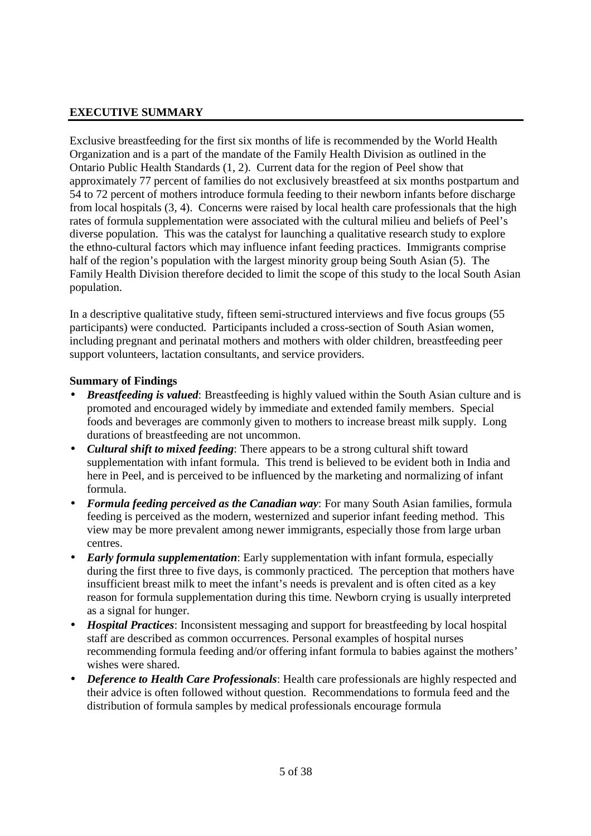# **EXECUTIVE SUMMARY**

Exclusive breastfeeding for the first six months of life is recommended by the World Health Organization and is a part of the mandate of the Family Health Division as outlined in the Ontario Public Health Standards (1, 2). Current data for the region of Peel show that approximately 77 percent of families do not exclusively breastfeed at six months postpartum and 54 to 72 percent of mothers introduce formula feeding to their newborn infants before discharge from local hospitals (3, 4). Concerns were raised by local health care professionals that the high rates of formula supplementation were associated with the cultural milieu and beliefs of Peel's diverse population. This was the catalyst for launching a qualitative research study to explore the ethno-cultural factors which may influence infant feeding practices. Immigrants comprise half of the region's population with the largest minority group being South Asian (5). The Family Health Division therefore decided to limit the scope of this study to the local South Asian population.

In a descriptive qualitative study, fifteen semi-structured interviews and five focus groups (55 participants) were conducted. Participants included a cross-section of South Asian women, including pregnant and perinatal mothers and mothers with older children, breastfeeding peer support volunteers, lactation consultants, and service providers.

#### **Summary of Findings**

- *Breastfeeding is valued*: Breastfeeding is highly valued within the South Asian culture and is promoted and encouraged widely by immediate and extended family members. Special foods and beverages are commonly given to mothers to increase breast milk supply. Long durations of breastfeeding are not uncommon.
- *Cultural shift to mixed feeding*: There appears to be a strong cultural shift toward supplementation with infant formula. This trend is believed to be evident both in India and here in Peel, and is perceived to be influenced by the marketing and normalizing of infant formula.
- *Formula feeding perceived as the Canadian way*: For many South Asian families, formula feeding is perceived as the modern, westernized and superior infant feeding method. This view may be more prevalent among newer immigrants, especially those from large urban centres.
- *Early formula supplementation*: Early supplementation with infant formula, especially during the first three to five days, is commonly practiced. The perception that mothers have insufficient breast milk to meet the infant's needs is prevalent and is often cited as a key reason for formula supplementation during this time. Newborn crying is usually interpreted as a signal for hunger.
- *Hospital Practices*: Inconsistent messaging and support for breastfeeding by local hospital staff are described as common occurrences. Personal examples of hospital nurses recommending formula feeding and/or offering infant formula to babies against the mothers' wishes were shared.
- *Deference to Health Care Professionals*: Health care professionals are highly respected and their advice is often followed without question. Recommendations to formula feed and the distribution of formula samples by medical professionals encourage formula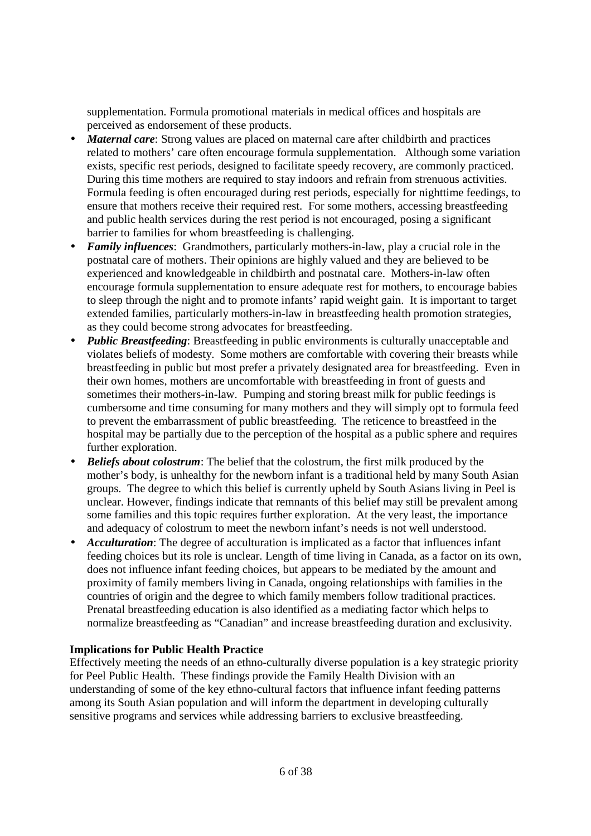supplementation. Formula promotional materials in medical offices and hospitals are perceived as endorsement of these products.

- *Maternal care*: Strong values are placed on maternal care after childbirth and practices related to mothers' care often encourage formula supplementation. Although some variation exists, specific rest periods, designed to facilitate speedy recovery, are commonly practiced. During this time mothers are required to stay indoors and refrain from strenuous activities. Formula feeding is often encouraged during rest periods, especially for nighttime feedings, to ensure that mothers receive their required rest. For some mothers, accessing breastfeeding and public health services during the rest period is not encouraged, posing a significant barrier to families for whom breastfeeding is challenging.
- *Family influences*: Grandmothers, particularly mothers-in-law, play a crucial role in the postnatal care of mothers. Their opinions are highly valued and they are believed to be experienced and knowledgeable in childbirth and postnatal care. Mothers-in-law often encourage formula supplementation to ensure adequate rest for mothers, to encourage babies to sleep through the night and to promote infants' rapid weight gain. It is important to target extended families, particularly mothers-in-law in breastfeeding health promotion strategies, as they could become strong advocates for breastfeeding.
- *Public Breastfeeding*: Breastfeeding in public environments is culturally unacceptable and violates beliefs of modesty. Some mothers are comfortable with covering their breasts while breastfeeding in public but most prefer a privately designated area for breastfeeding. Even in their own homes, mothers are uncomfortable with breastfeeding in front of guests and sometimes their mothers-in-law. Pumping and storing breast milk for public feedings is cumbersome and time consuming for many mothers and they will simply opt to formula feed to prevent the embarrassment of public breastfeeding. The reticence to breastfeed in the hospital may be partially due to the perception of the hospital as a public sphere and requires further exploration.
- *Beliefs about colostrum*: The belief that the colostrum, the first milk produced by the mother's body, is unhealthy for the newborn infant is a traditional held by many South Asian groups. The degree to which this belief is currently upheld by South Asians living in Peel is unclear. However, findings indicate that remnants of this belief may still be prevalent among some families and this topic requires further exploration. At the very least, the importance and adequacy of colostrum to meet the newborn infant's needs is not well understood.
- *Acculturation*: The degree of acculturation is implicated as a factor that influences infant feeding choices but its role is unclear. Length of time living in Canada, as a factor on its own, does not influence infant feeding choices, but appears to be mediated by the amount and proximity of family members living in Canada, ongoing relationships with families in the countries of origin and the degree to which family members follow traditional practices. Prenatal breastfeeding education is also identified as a mediating factor which helps to normalize breastfeeding as "Canadian" and increase breastfeeding duration and exclusivity.

#### **Implications for Public Health Practice**

Effectively meeting the needs of an ethno-culturally diverse population is a key strategic priority for Peel Public Health. These findings provide the Family Health Division with an understanding of some of the key ethno-cultural factors that influence infant feeding patterns among its South Asian population and will inform the department in developing culturally sensitive programs and services while addressing barriers to exclusive breastfeeding.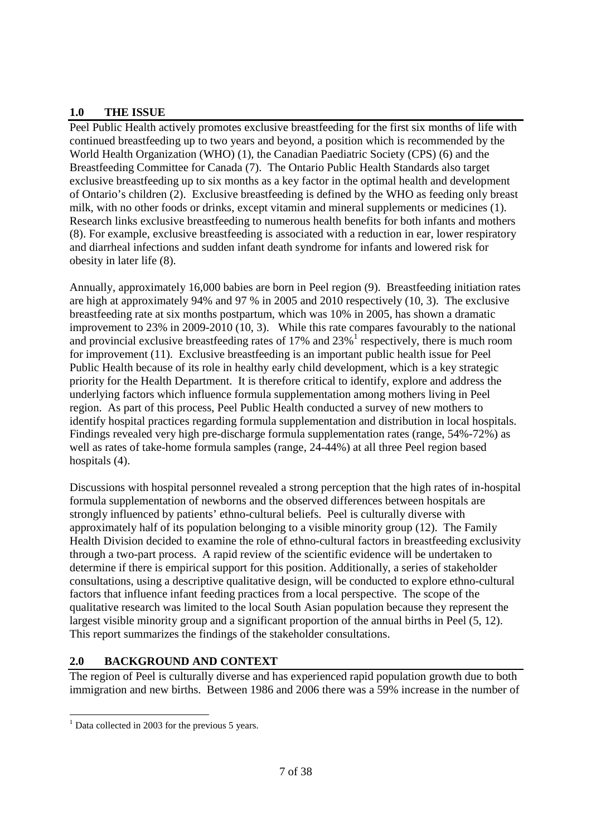# **1.0 THE ISSUE**

Peel Public Health actively promotes exclusive breastfeeding for the first six months of life with continued breastfeeding up to two years and beyond, a position which is recommended by the World Health Organization (WHO) (1), the Canadian Paediatric Society (CPS) (6) and the Breastfeeding Committee for Canada (7). The Ontario Public Health Standards also target exclusive breastfeeding up to six months as a key factor in the optimal health and development of Ontario's children (2). Exclusive breastfeeding is defined by the WHO as feeding only breast milk, with no other foods or drinks, except vitamin and mineral supplements or medicines (1). Research links exclusive breastfeeding to numerous health benefits for both infants and mothers (8). For example, exclusive breastfeeding is associated with a reduction in ear, lower respiratory and diarrheal infections and sudden infant death syndrome for infants and lowered risk for obesity in later life (8).

Annually, approximately 16,000 babies are born in Peel region (9). Breastfeeding initiation rates are high at approximately 94% and 97 % in 2005 and 2010 respectively (10, 3). The exclusive breastfeeding rate at six months postpartum, which was 10% in 2005, has shown a dramatic improvement to 23% in 2009-2010 (10, 3). While this rate compares favourably to the national and provincial exclusive breastfeeding rates of  $17\%$  and  $23\%$ <sup>1</sup> respectively, there is much room for improvement (11). Exclusive breastfeeding is an important public health issue for Peel Public Health because of its role in healthy early child development, which is a key strategic priority for the Health Department. It is therefore critical to identify, explore and address the underlying factors which influence formula supplementation among mothers living in Peel region. As part of this process, Peel Public Health conducted a survey of new mothers to identify hospital practices regarding formula supplementation and distribution in local hospitals. Findings revealed very high pre-discharge formula supplementation rates (range, 54%-72%) as well as rates of take-home formula samples (range, 24-44%) at all three Peel region based hospitals (4).

Discussions with hospital personnel revealed a strong perception that the high rates of in-hospital formula supplementation of newborns and the observed differences between hospitals are strongly influenced by patients' ethno-cultural beliefs. Peel is culturally diverse with approximately half of its population belonging to a visible minority group (12). The Family Health Division decided to examine the role of ethno-cultural factors in breastfeeding exclusivity through a two-part process. A rapid review of the scientific evidence will be undertaken to determine if there is empirical support for this position. Additionally, a series of stakeholder consultations, using a descriptive qualitative design, will be conducted to explore ethno-cultural factors that influence infant feeding practices from a local perspective. The scope of the qualitative research was limited to the local South Asian population because they represent the largest visible minority group and a significant proportion of the annual births in Peel (5, 12). This report summarizes the findings of the stakeholder consultations.

# **2.0 BACKGROUND AND CONTEXT**

The region of Peel is culturally diverse and has experienced rapid population growth due to both immigration and new births. Between 1986 and 2006 there was a 59% increase in the number of

<sup>-</sup><sup>1</sup> Data collected in 2003 for the previous 5 years.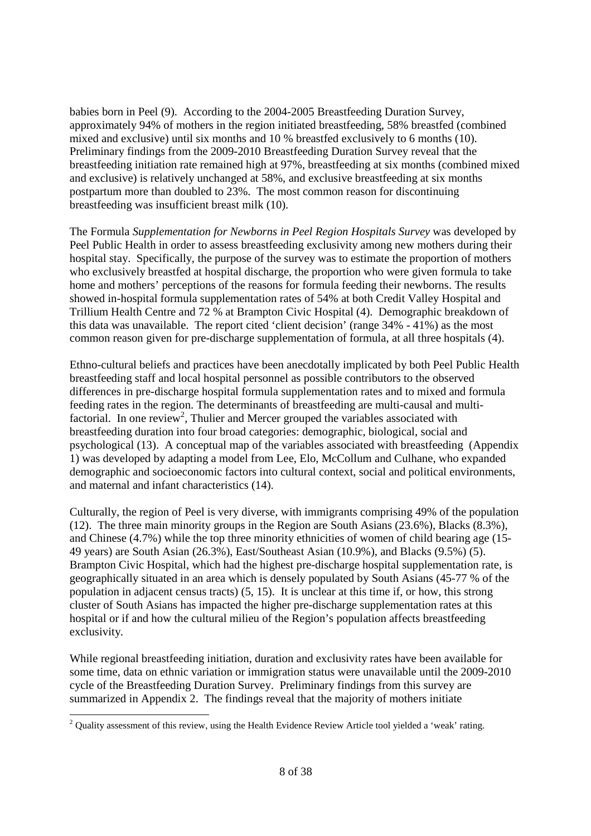babies born in Peel (9). According to the 2004-2005 Breastfeeding Duration Survey, approximately 94% of mothers in the region initiated breastfeeding, 58% breastfed (combined mixed and exclusive) until six months and 10 % breastfed exclusively to 6 months (10). Preliminary findings from the 2009-2010 Breastfeeding Duration Survey reveal that the breastfeeding initiation rate remained high at 97%, breastfeeding at six months (combined mixed and exclusive) is relatively unchanged at 58%, and exclusive breastfeeding at six months postpartum more than doubled to 23%. The most common reason for discontinuing breastfeeding was insufficient breast milk (10).

The Formula *Supplementation for Newborns in Peel Region Hospitals Survey* was developed by Peel Public Health in order to assess breastfeeding exclusivity among new mothers during their hospital stay. Specifically, the purpose of the survey was to estimate the proportion of mothers who exclusively breastfed at hospital discharge, the proportion who were given formula to take home and mothers' perceptions of the reasons for formula feeding their newborns. The results showed in-hospital formula supplementation rates of 54% at both Credit Valley Hospital and Trillium Health Centre and 72 % at Brampton Civic Hospital (4). Demographic breakdown of this data was unavailable. The report cited 'client decision' (range 34% - 41%) as the most common reason given for pre-discharge supplementation of formula, at all three hospitals (4).

Ethno-cultural beliefs and practices have been anecdotally implicated by both Peel Public Health breastfeeding staff and local hospital personnel as possible contributors to the observed differences in pre-discharge hospital formula supplementation rates and to mixed and formula feeding rates in the region. The determinants of breastfeeding are multi-causal and multifactorial. In one review<sup>2</sup>, Thulier and Mercer grouped the variables associated with breastfeeding duration into four broad categories: demographic, biological, social and psychological (13). A conceptual map of the variables associated with breastfeeding (Appendix 1) was developed by adapting a model from Lee, Elo, McCollum and Culhane, who expanded demographic and socioeconomic factors into cultural context, social and political environments, and maternal and infant characteristics (14).

Culturally, the region of Peel is very diverse, with immigrants comprising 49% of the population (12). The three main minority groups in the Region are South Asians (23.6%), Blacks (8.3%), and Chinese (4.7%) while the top three minority ethnicities of women of child bearing age (15- 49 years) are South Asian (26.3%), East/Southeast Asian (10.9%), and Blacks (9.5%) (5). Brampton Civic Hospital, which had the highest pre-discharge hospital supplementation rate, is geographically situated in an area which is densely populated by South Asians (45-77 % of the population in adjacent census tracts) (5, 15). It is unclear at this time if, or how, this strong cluster of South Asians has impacted the higher pre-discharge supplementation rates at this hospital or if and how the cultural milieu of the Region's population affects breastfeeding exclusivity.

While regional breastfeeding initiation, duration and exclusivity rates have been available for some time, data on ethnic variation or immigration status were unavailable until the 2009-2010 cycle of the Breastfeeding Duration Survey. Preliminary findings from this survey are summarized in Appendix 2. The findings reveal that the majority of mothers initiate

<sup>-</sup> $2$  Quality assessment of this review, using the Health Evidence Review Article tool yielded a 'weak' rating.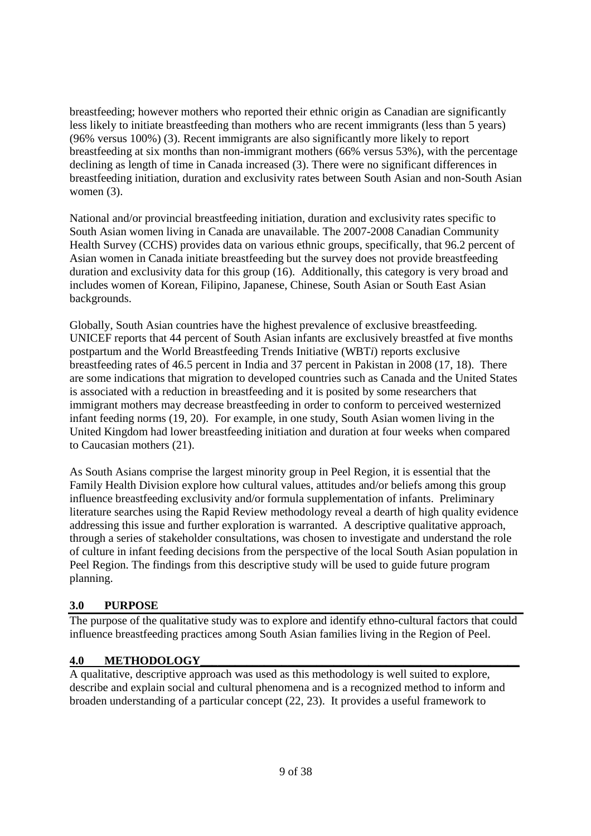breastfeeding; however mothers who reported their ethnic origin as Canadian are significantly less likely to initiate breastfeeding than mothers who are recent immigrants (less than 5 years) (96% versus 100%) (3). Recent immigrants are also significantly more likely to report breastfeeding at six months than non-immigrant mothers (66% versus 53%), with the percentage declining as length of time in Canada increased (3). There were no significant differences in breastfeeding initiation, duration and exclusivity rates between South Asian and non-South Asian women  $(3)$ .

National and/or provincial breastfeeding initiation, duration and exclusivity rates specific to South Asian women living in Canada are unavailable. The 2007-2008 Canadian Community Health Survey (CCHS) provides data on various ethnic groups, specifically, that 96.2 percent of Asian women in Canada initiate breastfeeding but the survey does not provide breastfeeding duration and exclusivity data for this group (16). Additionally, this category is very broad and includes women of Korean, Filipino, Japanese, Chinese, South Asian or South East Asian backgrounds.

Globally, South Asian countries have the highest prevalence of exclusive breastfeeding. UNICEF reports that 44 percent of South Asian infants are exclusively breastfed at five months postpartum and the World Breastfeeding Trends Initiative (WBT*i*) reports exclusive breastfeeding rates of 46.5 percent in India and 37 percent in Pakistan in 2008 (17, 18). There are some indications that migration to developed countries such as Canada and the United States is associated with a reduction in breastfeeding and it is posited by some researchers that immigrant mothers may decrease breastfeeding in order to conform to perceived westernized infant feeding norms (19, 20). For example, in one study, South Asian women living in the United Kingdom had lower breastfeeding initiation and duration at four weeks when compared to Caucasian mothers (21).

As South Asians comprise the largest minority group in Peel Region, it is essential that the Family Health Division explore how cultural values, attitudes and/or beliefs among this group influence breastfeeding exclusivity and/or formula supplementation of infants. Preliminary literature searches using the Rapid Review methodology reveal a dearth of high quality evidence addressing this issue and further exploration is warranted. A descriptive qualitative approach, through a series of stakeholder consultations, was chosen to investigate and understand the role of culture in infant feeding decisions from the perspective of the local South Asian population in Peel Region. The findings from this descriptive study will be used to guide future program planning.

# **3.0 PURPOSE**

The purpose of the qualitative study was to explore and identify ethno-cultural factors that could influence breastfeeding practices among South Asian families living in the Region of Peel.

# **4.0 METHODOLOGY\_\_\_\_\_\_\_\_\_\_\_\_\_\_\_\_\_\_\_\_\_\_\_\_\_\_\_\_\_\_\_\_\_\_\_\_\_\_\_\_\_\_\_\_\_\_\_\_\_\_\_\_\_\_\_**

A qualitative, descriptive approach was used as this methodology is well suited to explore, describe and explain social and cultural phenomena and is a recognized method to inform and broaden understanding of a particular concept (22, 23). It provides a useful framework to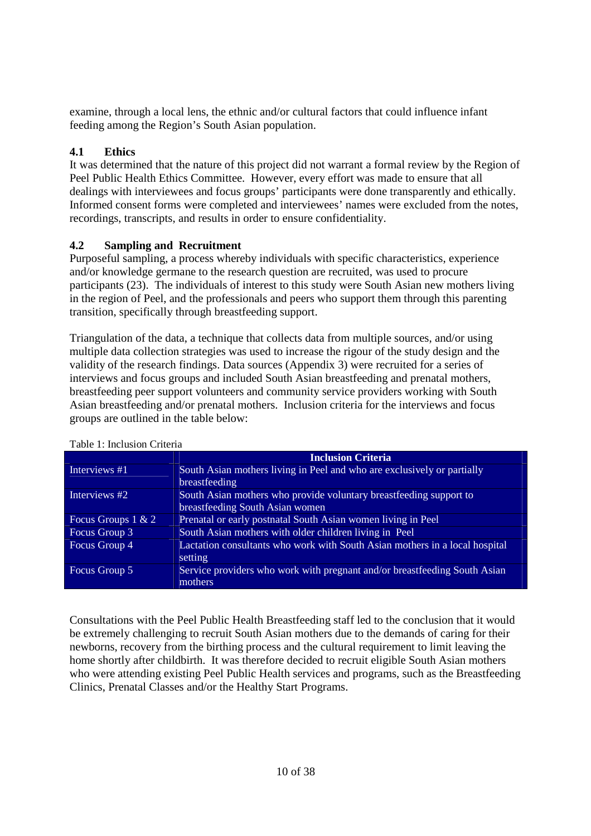examine, through a local lens, the ethnic and/or cultural factors that could influence infant feeding among the Region's South Asian population.

# **4.1 Ethics**

It was determined that the nature of this project did not warrant a formal review by the Region of Peel Public Health Ethics Committee. However, every effort was made to ensure that all dealings with interviewees and focus groups' participants were done transparently and ethically. Informed consent forms were completed and interviewees' names were excluded from the notes, recordings, transcripts, and results in order to ensure confidentiality.

# **4.2 Sampling and Recruitment**

Purposeful sampling, a process whereby individuals with specific characteristics, experience and/or knowledge germane to the research question are recruited, was used to procure participants (23). The individuals of interest to this study were South Asian new mothers living in the region of Peel, and the professionals and peers who support them through this parenting transition, specifically through breastfeeding support.

Triangulation of the data, a technique that collects data from multiple sources, and/or using multiple data collection strategies was used to increase the rigour of the study design and the validity of the research findings. Data sources (Appendix 3) were recruited for a series of interviews and focus groups and included South Asian breastfeeding and prenatal mothers, breastfeeding peer support volunteers and community service providers working with South Asian breastfeeding and/or prenatal mothers. Inclusion criteria for the interviews and focus groups are outlined in the table below:

|                      | <b>Inclusion Criteria</b>                                                   |  |  |  |
|----------------------|-----------------------------------------------------------------------------|--|--|--|
| Interviews #1        | South Asian mothers living in Peel and who are exclusively or partially     |  |  |  |
|                      | breastfeeding                                                               |  |  |  |
| Interviews #2        | South Asian mothers who provide voluntary breastfeeding support to          |  |  |  |
|                      | breastfeeding South Asian women                                             |  |  |  |
| Focus Groups $1 & 2$ | Prenatal or early postnatal South Asian women living in Peel                |  |  |  |
| Focus Group 3        | South Asian mothers with older children living in Peel                      |  |  |  |
| Focus Group 4        | Lactation consultants who work with South Asian mothers in a local hospital |  |  |  |
|                      | setting                                                                     |  |  |  |
| Focus Group 5        | Service providers who work with pregnant and/or breastfeeding South Asian   |  |  |  |
|                      | mothers                                                                     |  |  |  |

#### Table 1: Inclusion Criteria

Consultations with the Peel Public Health Breastfeeding staff led to the conclusion that it would be extremely challenging to recruit South Asian mothers due to the demands of caring for their newborns, recovery from the birthing process and the cultural requirement to limit leaving the home shortly after childbirth. It was therefore decided to recruit eligible South Asian mothers who were attending existing Peel Public Health services and programs, such as the Breastfeeding Clinics, Prenatal Classes and/or the Healthy Start Programs.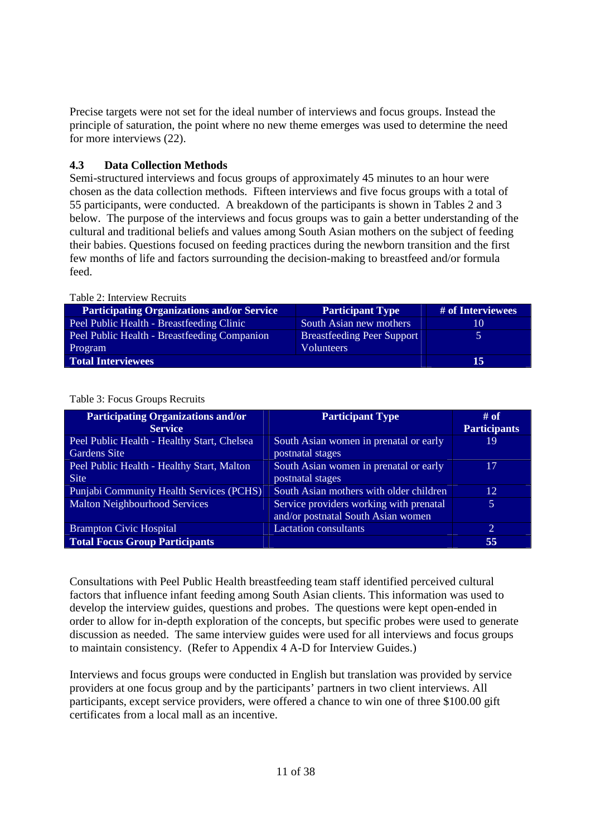Precise targets were not set for the ideal number of interviews and focus groups. Instead the principle of saturation, the point where no new theme emerges was used to determine the need for more interviews (22).

# **4.3 Data Collection Methods**

Semi-structured interviews and focus groups of approximately 45 minutes to an hour were chosen as the data collection methods. Fifteen interviews and five focus groups with a total of 55 participants, were conducted. A breakdown of the participants is shown in Tables 2 and 3 below. The purpose of the interviews and focus groups was to gain a better understanding of the cultural and traditional beliefs and values among South Asian mothers on the subject of feeding their babies. Questions focused on feeding practices during the newborn transition and the first few months of life and factors surrounding the decision-making to breastfeed and/or formula feed.

| Table 2: Interview Recruits                       |                                   |                   |  |  |  |
|---------------------------------------------------|-----------------------------------|-------------------|--|--|--|
| <b>Participating Organizations and/or Service</b> | <b>Participant Type</b>           | # of Interviewees |  |  |  |
| Peel Public Health - Breastfeeding Clinic         | South Asian new mothers           | 10                |  |  |  |
| Peel Public Health - Breastfeeding Companion      | <b>Breastfeeding Peer Support</b> |                   |  |  |  |
| Program                                           | <b>Volunteers</b>                 |                   |  |  |  |
| <b>Total Interviewees</b>                         | 15                                |                   |  |  |  |

 $T = T \cdot T \cdot T$ 

| <b>Participating Organizations and/or</b>   | <b>Participant Type</b>                 | $#$ of              |
|---------------------------------------------|-----------------------------------------|---------------------|
| <b>Service</b>                              |                                         | <b>Participants</b> |
| Peel Public Health - Healthy Start, Chelsea | South Asian women in prenatal or early  | 19                  |
| <b>Gardens Site</b>                         | postnatal stages                        |                     |
| Peel Public Health - Healthy Start, Malton  | South Asian women in prenatal or early  | 17                  |
| <b>Site</b>                                 | postnatal stages                        |                     |
| Punjabi Community Health Services (PCHS)    | South Asian mothers with older children | 12                  |
| <b>Malton Neighbourhood Services</b>        | Service providers working with prenatal | 5                   |
|                                             | and/or postnatal South Asian women      |                     |
| <b>Brampton Civic Hospital</b>              | <b>Lactation consultants</b>            | $\overline{2}$      |
| <b>Total Focus Group Participants</b>       |                                         | 55                  |

Table 3: Focus Groups Recruits

Consultations with Peel Public Health breastfeeding team staff identified perceived cultural factors that influence infant feeding among South Asian clients. This information was used to develop the interview guides, questions and probes. The questions were kept open-ended in order to allow for in-depth exploration of the concepts, but specific probes were used to generate discussion as needed. The same interview guides were used for all interviews and focus groups to maintain consistency. (Refer to Appendix 4 A-D for Interview Guides.)

Interviews and focus groups were conducted in English but translation was provided by service providers at one focus group and by the participants' partners in two client interviews. All participants, except service providers, were offered a chance to win one of three \$100.00 gift certificates from a local mall as an incentive.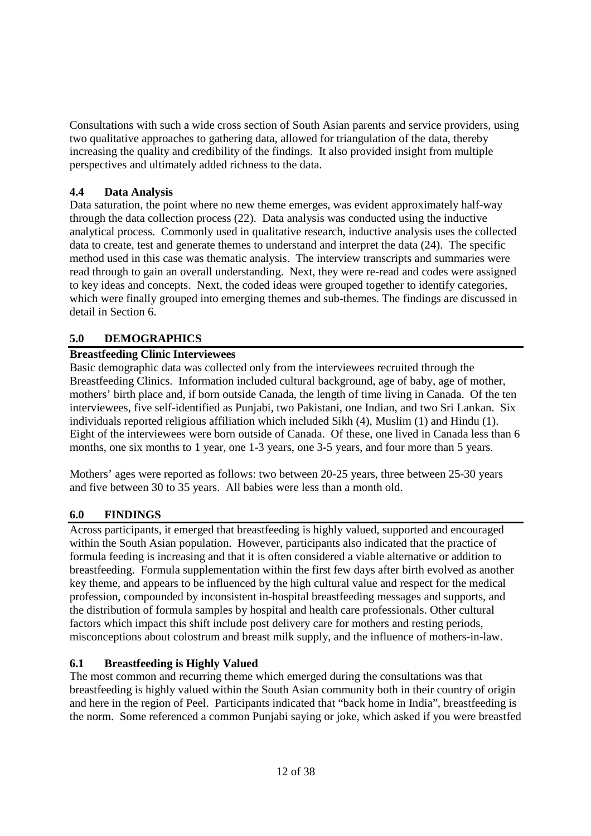Consultations with such a wide cross section of South Asian parents and service providers, using two qualitative approaches to gathering data, allowed for triangulation of the data, thereby increasing the quality and credibility of the findings. It also provided insight from multiple perspectives and ultimately added richness to the data.

# **4.4 Data Analysis**

Data saturation, the point where no new theme emerges, was evident approximately half-way through the data collection process (22). Data analysis was conducted using the inductive analytical process. Commonly used in qualitative research, inductive analysis uses the collected data to create, test and generate themes to understand and interpret the data (24). The specific method used in this case was thematic analysis. The interview transcripts and summaries were read through to gain an overall understanding. Next, they were re-read and codes were assigned to key ideas and concepts. Next, the coded ideas were grouped together to identify categories, which were finally grouped into emerging themes and sub-themes. The findings are discussed in detail in Section 6.

# **5.0 DEMOGRAPHICS**

# **Breastfeeding Clinic Interviewees**

Basic demographic data was collected only from the interviewees recruited through the Breastfeeding Clinics. Information included cultural background, age of baby, age of mother, mothers' birth place and, if born outside Canada, the length of time living in Canada. Of the ten interviewees, five self-identified as Punjabi, two Pakistani, one Indian, and two Sri Lankan. Six individuals reported religious affiliation which included Sikh (4), Muslim (1) and Hindu (1). Eight of the interviewees were born outside of Canada. Of these, one lived in Canada less than 6 months, one six months to 1 year, one 1-3 years, one 3-5 years, and four more than 5 years.

Mothers' ages were reported as follows: two between 20-25 years, three between 25-30 years and five between 30 to 35 years. All babies were less than a month old.

# **6.0 FINDINGS**

Across participants, it emerged that breastfeeding is highly valued, supported and encouraged within the South Asian population. However, participants also indicated that the practice of formula feeding is increasing and that it is often considered a viable alternative or addition to breastfeeding. Formula supplementation within the first few days after birth evolved as another key theme, and appears to be influenced by the high cultural value and respect for the medical profession, compounded by inconsistent in-hospital breastfeeding messages and supports, and the distribution of formula samples by hospital and health care professionals. Other cultural factors which impact this shift include post delivery care for mothers and resting periods, misconceptions about colostrum and breast milk supply, and the influence of mothers-in-law.

# **6.1 Breastfeeding is Highly Valued**

The most common and recurring theme which emerged during the consultations was that breastfeeding is highly valued within the South Asian community both in their country of origin and here in the region of Peel. Participants indicated that "back home in India", breastfeeding is the norm. Some referenced a common Punjabi saying or joke, which asked if you were breastfed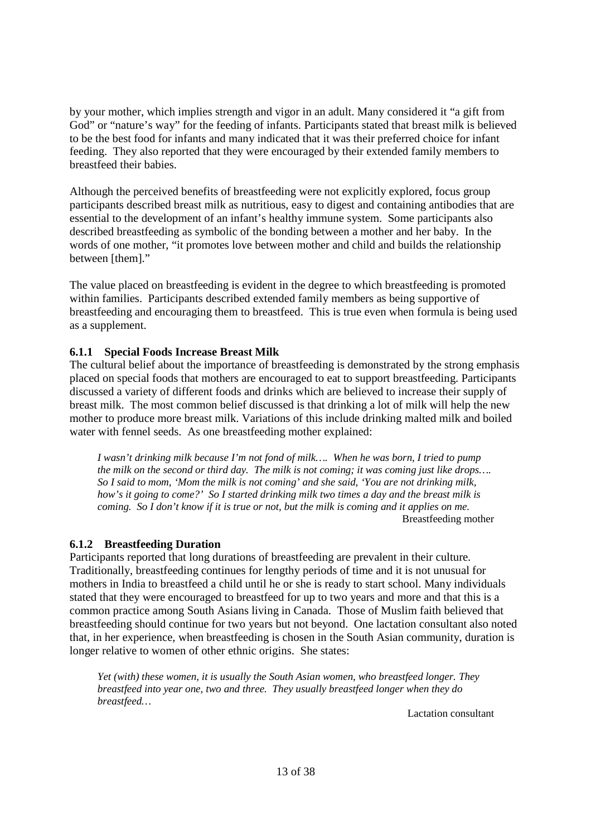by your mother, which implies strength and vigor in an adult. Many considered it "a gift from God" or "nature's way" for the feeding of infants. Participants stated that breast milk is believed to be the best food for infants and many indicated that it was their preferred choice for infant feeding. They also reported that they were encouraged by their extended family members to breastfeed their babies.

Although the perceived benefits of breastfeeding were not explicitly explored, focus group participants described breast milk as nutritious, easy to digest and containing antibodies that are essential to the development of an infant's healthy immune system. Some participants also described breastfeeding as symbolic of the bonding between a mother and her baby. In the words of one mother, "it promotes love between mother and child and builds the relationship between [them]."

The value placed on breastfeeding is evident in the degree to which breastfeeding is promoted within families. Participants described extended family members as being supportive of breastfeeding and encouraging them to breastfeed. This is true even when formula is being used as a supplement.

#### **6.1.1 Special Foods Increase Breast Milk**

The cultural belief about the importance of breastfeeding is demonstrated by the strong emphasis placed on special foods that mothers are encouraged to eat to support breastfeeding. Participants discussed a variety of different foods and drinks which are believed to increase their supply of breast milk. The most common belief discussed is that drinking a lot of milk will help the new mother to produce more breast milk. Variations of this include drinking malted milk and boiled water with fennel seeds. As one breastfeeding mother explained:

*I wasn't drinking milk because I'm not fond of milk…. When he was born, I tried to pump the milk on the second or third day. The milk is not coming; it was coming just like drops…. So I said to mom, 'Mom the milk is not coming' and she said, 'You are not drinking milk, how's it going to come?' So I started drinking milk two times a day and the breast milk is coming. So I don't know if it is true or not, but the milk is coming and it applies on me.*  Breastfeeding mother

#### **6.1.2 Breastfeeding Duration**

Participants reported that long durations of breastfeeding are prevalent in their culture. Traditionally, breastfeeding continues for lengthy periods of time and it is not unusual for mothers in India to breastfeed a child until he or she is ready to start school. Many individuals stated that they were encouraged to breastfeed for up to two years and more and that this is a common practice among South Asians living in Canada. Those of Muslim faith believed that breastfeeding should continue for two years but not beyond. One lactation consultant also noted that, in her experience, when breastfeeding is chosen in the South Asian community, duration is longer relative to women of other ethnic origins. She states:

*Yet (with) these women, it is usually the South Asian women, who breastfeed longer. They breastfeed into year one, two and three. They usually breastfeed longer when they do breastfeed…* 

Lactation consultant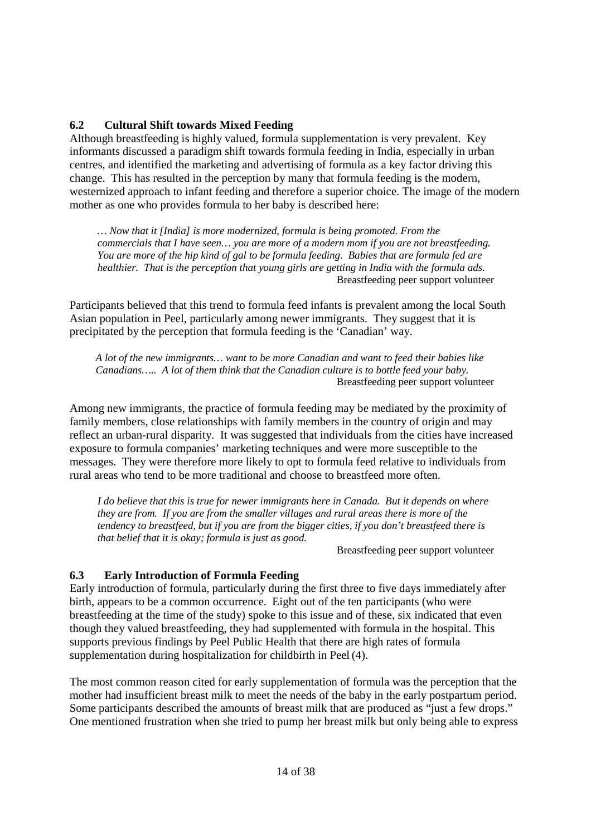#### **6.2 Cultural Shift towards Mixed Feeding**

Although breastfeeding is highly valued, formula supplementation is very prevalent. Key informants discussed a paradigm shift towards formula feeding in India, especially in urban centres, and identified the marketing and advertising of formula as a key factor driving this change. This has resulted in the perception by many that formula feeding is the modern, westernized approach to infant feeding and therefore a superior choice. The image of the modern mother as one who provides formula to her baby is described here:

*… Now that it [India] is more modernized, formula is being promoted. From the commercials that I have seen… you are more of a modern mom if you are not breastfeeding. You are more of the hip kind of gal to be formula feeding. Babies that are formula fed are healthier. That is the perception that young girls are getting in India with the formula ads.*  Breastfeeding peer support volunteer

Participants believed that this trend to formula feed infants is prevalent among the local South Asian population in Peel, particularly among newer immigrants. They suggest that it is precipitated by the perception that formula feeding is the 'Canadian' way.

*A lot of the new immigrants… want to be more Canadian and want to feed their babies like Canadians….. A lot of them think that the Canadian culture is to bottle feed your baby.*  Breastfeeding peer support volunteer

Among new immigrants, the practice of formula feeding may be mediated by the proximity of family members, close relationships with family members in the country of origin and may reflect an urban-rural disparity. It was suggested that individuals from the cities have increased exposure to formula companies' marketing techniques and were more susceptible to the messages. They were therefore more likely to opt to formula feed relative to individuals from rural areas who tend to be more traditional and choose to breastfeed more often.

*I do believe that this is true for newer immigrants here in Canada. But it depends on where they are from. If you are from the smaller villages and rural areas there is more of the tendency to breastfeed, but if you are from the bigger cities, if you don't breastfeed there is that belief that it is okay; formula is just as good.* 

Breastfeeding peer support volunteer

#### **6.3 Early Introduction of Formula Feeding**

Early introduction of formula, particularly during the first three to five days immediately after birth, appears to be a common occurrence. Eight out of the ten participants (who were breastfeeding at the time of the study) spoke to this issue and of these, six indicated that even though they valued breastfeeding, they had supplemented with formula in the hospital. This supports previous findings by Peel Public Health that there are high rates of formula supplementation during hospitalization for childbirth in Peel (4).

The most common reason cited for early supplementation of formula was the perception that the mother had insufficient breast milk to meet the needs of the baby in the early postpartum period. Some participants described the amounts of breast milk that are produced as "just a few drops." One mentioned frustration when she tried to pump her breast milk but only being able to express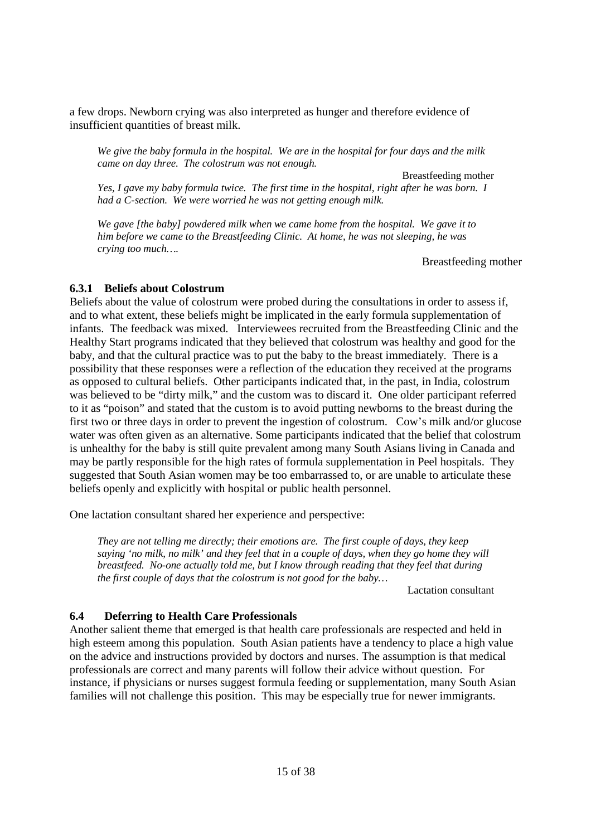a few drops. Newborn crying was also interpreted as hunger and therefore evidence of insufficient quantities of breast milk.

*We give the baby formula in the hospital. We are in the hospital for four days and the milk came on day three. The colostrum was not enough.* 

Breastfeeding mother *Yes, I gave my baby formula twice. The first time in the hospital, right after he was born. I had a C-section. We were worried he was not getting enough milk.* 

*We gave [the baby] powdered milk when we came home from the hospital. We gave it to him before we came to the Breastfeeding Clinic. At home, he was not sleeping, he was crying too much….* 

Breastfeeding mother

#### **6.3.1 Beliefs about Colostrum**

Beliefs about the value of colostrum were probed during the consultations in order to assess if, and to what extent, these beliefs might be implicated in the early formula supplementation of infants. The feedback was mixed. Interviewees recruited from the Breastfeeding Clinic and the Healthy Start programs indicated that they believed that colostrum was healthy and good for the baby, and that the cultural practice was to put the baby to the breast immediately. There is a possibility that these responses were a reflection of the education they received at the programs as opposed to cultural beliefs. Other participants indicated that, in the past, in India, colostrum was believed to be "dirty milk," and the custom was to discard it. One older participant referred to it as "poison" and stated that the custom is to avoid putting newborns to the breast during the first two or three days in order to prevent the ingestion of colostrum. Cow's milk and/or glucose water was often given as an alternative. Some participants indicated that the belief that colostrum is unhealthy for the baby is still quite prevalent among many South Asians living in Canada and may be partly responsible for the high rates of formula supplementation in Peel hospitals. They suggested that South Asian women may be too embarrassed to, or are unable to articulate these beliefs openly and explicitly with hospital or public health personnel.

One lactation consultant shared her experience and perspective:

*They are not telling me directly; their emotions are. The first couple of days, they keep saying 'no milk, no milk' and they feel that in a couple of days, when they go home they will breastfeed. No-one actually told me, but I know through reading that they feel that during the first couple of days that the colostrum is not good for the baby…* 

Lactation consultant

#### **6.4 Deferring to Health Care Professionals**

Another salient theme that emerged is that health care professionals are respected and held in high esteem among this population. South Asian patients have a tendency to place a high value on the advice and instructions provided by doctors and nurses. The assumption is that medical professionals are correct and many parents will follow their advice without question. For instance, if physicians or nurses suggest formula feeding or supplementation, many South Asian families will not challenge this position. This may be especially true for newer immigrants.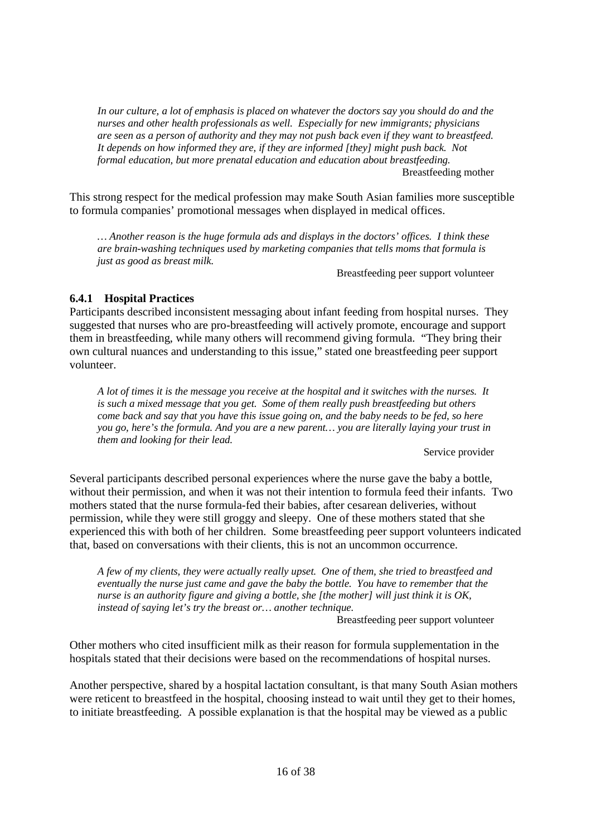*In our culture, a lot of emphasis is placed on whatever the doctors say you should do and the nurses and other health professionals as well. Especially for new immigrants; physicians are seen as a person of authority and they may not push back even if they want to breastfeed. It depends on how informed they are, if they are informed [they] might push back. Not formal education, but more prenatal education and education about breastfeeding.*  Breastfeeding mother

This strong respect for the medical profession may make South Asian families more susceptible to formula companies' promotional messages when displayed in medical offices.

*… Another reason is the huge formula ads and displays in the doctors' offices. I think these are brain-washing techniques used by marketing companies that tells moms that formula is just as good as breast milk.* 

Breastfeeding peer support volunteer

# **6.4.1 Hospital Practices**

Participants described inconsistent messaging about infant feeding from hospital nurses. They suggested that nurses who are pro-breastfeeding will actively promote, encourage and support them in breastfeeding, while many others will recommend giving formula. "They bring their own cultural nuances and understanding to this issue," stated one breastfeeding peer support volunteer.

*A lot of times it is the message you receive at the hospital and it switches with the nurses. It is such a mixed message that you get. Some of them really push breastfeeding but others come back and say that you have this issue going on, and the baby needs to be fed, so here you go, here's the formula. And you are a new parent… you are literally laying your trust in them and looking for their lead.* 

Service provider

Several participants described personal experiences where the nurse gave the baby a bottle, without their permission, and when it was not their intention to formula feed their infants. Two mothers stated that the nurse formula-fed their babies, after cesarean deliveries, without permission, while they were still groggy and sleepy. One of these mothers stated that she experienced this with both of her children. Some breastfeeding peer support volunteers indicated that, based on conversations with their clients, this is not an uncommon occurrence.

*A few of my clients, they were actually really upset. One of them, she tried to breastfeed and eventually the nurse just came and gave the baby the bottle. You have to remember that the nurse is an authority figure and giving a bottle, she [the mother] will just think it is OK, instead of saying let's try the breast or… another technique.* 

Breastfeeding peer support volunteer

Other mothers who cited insufficient milk as their reason for formula supplementation in the hospitals stated that their decisions were based on the recommendations of hospital nurses.

Another perspective, shared by a hospital lactation consultant, is that many South Asian mothers were reticent to breastfeed in the hospital, choosing instead to wait until they get to their homes, to initiate breastfeeding. A possible explanation is that the hospital may be viewed as a public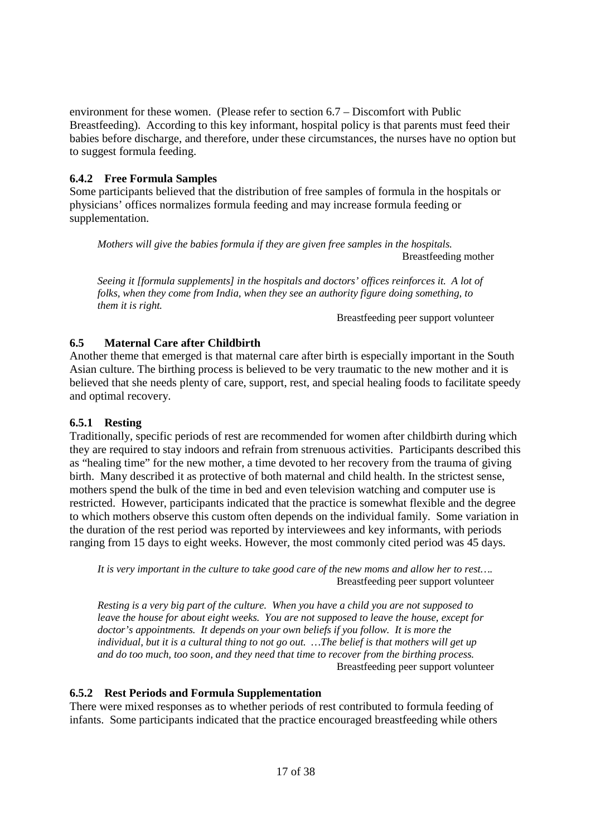environment for these women. (Please refer to section 6.7 – Discomfort with Public Breastfeeding). According to this key informant, hospital policy is that parents must feed their babies before discharge, and therefore, under these circumstances, the nurses have no option but to suggest formula feeding.

# **6.4.2 Free Formula Samples**

Some participants believed that the distribution of free samples of formula in the hospitals or physicians' offices normalizes formula feeding and may increase formula feeding or supplementation.

*Mothers will give the babies formula if they are given free samples in the hospitals.*  Breastfeeding mother

*Seeing it [formula supplements] in the hospitals and doctors' offices reinforces it. A lot of folks, when they come from India, when they see an authority figure doing something, to them it is right.* 

Breastfeeding peer support volunteer

# **6.5 Maternal Care after Childbirth**

Another theme that emerged is that maternal care after birth is especially important in the South Asian culture. The birthing process is believed to be very traumatic to the new mother and it is believed that she needs plenty of care, support, rest, and special healing foods to facilitate speedy and optimal recovery.

#### **6.5.1 Resting**

Traditionally, specific periods of rest are recommended for women after childbirth during which they are required to stay indoors and refrain from strenuous activities. Participants described this as "healing time" for the new mother, a time devoted to her recovery from the trauma of giving birth. Many described it as protective of both maternal and child health. In the strictest sense, mothers spend the bulk of the time in bed and even television watching and computer use is restricted. However, participants indicated that the practice is somewhat flexible and the degree to which mothers observe this custom often depends on the individual family. Some variation in the duration of the rest period was reported by interviewees and key informants, with periods ranging from 15 days to eight weeks. However, the most commonly cited period was 45 days.

*It is very important in the culture to take good care of the new moms and allow her to rest….*  Breastfeeding peer support volunteer

*Resting is a very big part of the culture. When you have a child you are not supposed to leave the house for about eight weeks. You are not supposed to leave the house, except for doctor's appointments. It depends on your own beliefs if you follow. It is more the individual, but it is a cultural thing to not go out. …The belief is that mothers will get up and do too much, too soon, and they need that time to recover from the birthing process.*  Breastfeeding peer support volunteer

#### **6.5.2 Rest Periods and Formula Supplementation**

There were mixed responses as to whether periods of rest contributed to formula feeding of infants. Some participants indicated that the practice encouraged breastfeeding while others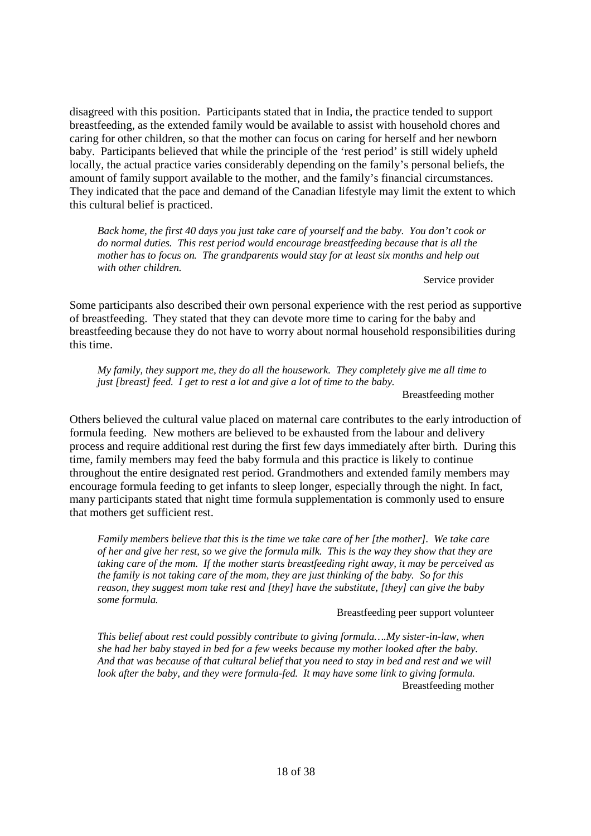disagreed with this position. Participants stated that in India, the practice tended to support breastfeeding, as the extended family would be available to assist with household chores and caring for other children, so that the mother can focus on caring for herself and her newborn baby. Participants believed that while the principle of the 'rest period' is still widely upheld locally, the actual practice varies considerably depending on the family's personal beliefs, the amount of family support available to the mother, and the family's financial circumstances. They indicated that the pace and demand of the Canadian lifestyle may limit the extent to which this cultural belief is practiced.

*Back home, the first 40 days you just take care of yourself and the baby. You don't cook or do normal duties. This rest period would encourage breastfeeding because that is all the mother has to focus on. The grandparents would stay for at least six months and help out with other children.* 

Service provider

Some participants also described their own personal experience with the rest period as supportive of breastfeeding. They stated that they can devote more time to caring for the baby and breastfeeding because they do not have to worry about normal household responsibilities during this time.

*My family, they support me, they do all the housework. They completely give me all time to just [breast] feed. I get to rest a lot and give a lot of time to the baby.* 

Breastfeeding mother

Others believed the cultural value placed on maternal care contributes to the early introduction of formula feeding. New mothers are believed to be exhausted from the labour and delivery process and require additional rest during the first few days immediately after birth. During this time, family members may feed the baby formula and this practice is likely to continue throughout the entire designated rest period. Grandmothers and extended family members may encourage formula feeding to get infants to sleep longer, especially through the night. In fact, many participants stated that night time formula supplementation is commonly used to ensure that mothers get sufficient rest.

*Family members believe that this is the time we take care of her [the mother]. We take care of her and give her rest, so we give the formula milk. This is the way they show that they are taking care of the mom. If the mother starts breastfeeding right away, it may be perceived as the family is not taking care of the mom, they are just thinking of the baby. So for this reason, they suggest mom take rest and [they] have the substitute, [they] can give the baby some formula.* 

Breastfeeding peer support volunteer

*This belief about rest could possibly contribute to giving formula….My sister-in-law, when she had her baby stayed in bed for a few weeks because my mother looked after the baby. And that was because of that cultural belief that you need to stay in bed and rest and we will look after the baby, and they were formula-fed. It may have some link to giving formula.*  Breastfeeding mother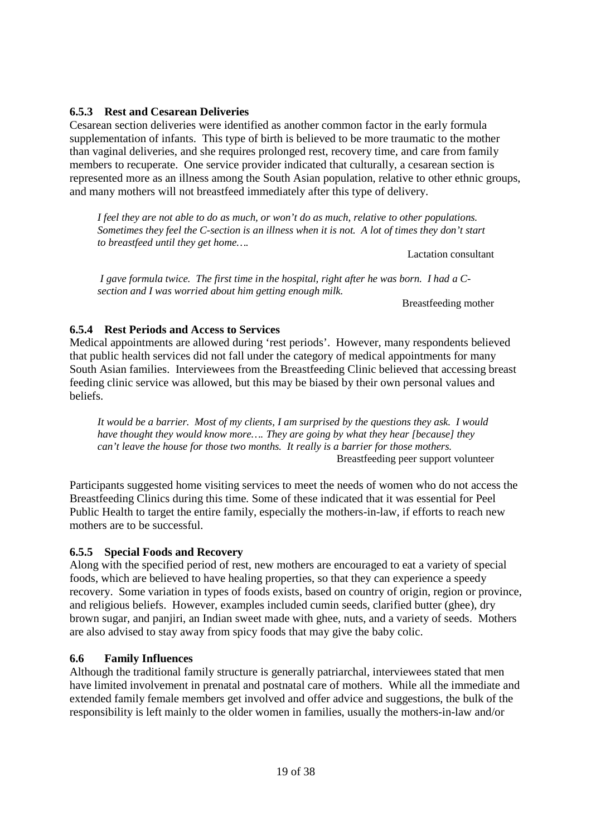# **6.5.3 Rest and Cesarean Deliveries**

Cesarean section deliveries were identified as another common factor in the early formula supplementation of infants. This type of birth is believed to be more traumatic to the mother than vaginal deliveries, and she requires prolonged rest, recovery time, and care from family members to recuperate. One service provider indicated that culturally, a cesarean section is represented more as an illness among the South Asian population, relative to other ethnic groups, and many mothers will not breastfeed immediately after this type of delivery.

*I feel they are not able to do as much, or won't do as much, relative to other populations. Sometimes they feel the C-section is an illness when it is not. A lot of times they don't start to breastfeed until they get home….* 

Lactation consultant

 *I gave formula twice. The first time in the hospital, right after he was born. I had a Csection and I was worried about him getting enough milk.* 

**Breastfeeding mother** 

#### **6.5.4 Rest Periods and Access to Services**

Medical appointments are allowed during 'rest periods'. However, many respondents believed that public health services did not fall under the category of medical appointments for many South Asian families. Interviewees from the Breastfeeding Clinic believed that accessing breast feeding clinic service was allowed, but this may be biased by their own personal values and beliefs.

*It would be a barrier. Most of my clients, I am surprised by the questions they ask. I would have thought they would know more…. They are going by what they hear [because] they can't leave the house for those two months. It really is a barrier for those mothers.*  Breastfeeding peer support volunteer

Participants suggested home visiting services to meet the needs of women who do not access the Breastfeeding Clinics during this time. Some of these indicated that it was essential for Peel Public Health to target the entire family, especially the mothers-in-law, if efforts to reach new mothers are to be successful.

#### **6.5.5 Special Foods and Recovery**

Along with the specified period of rest, new mothers are encouraged to eat a variety of special foods, which are believed to have healing properties, so that they can experience a speedy recovery. Some variation in types of foods exists, based on country of origin, region or province, and religious beliefs. However, examples included cumin seeds, clarified butter (ghee), dry brown sugar, and panjiri, an Indian sweet made with ghee, nuts, and a variety of seeds. Mothers are also advised to stay away from spicy foods that may give the baby colic.

#### **6.6 Family Influences**

Although the traditional family structure is generally patriarchal, interviewees stated that men have limited involvement in prenatal and postnatal care of mothers. While all the immediate and extended family female members get involved and offer advice and suggestions, the bulk of the responsibility is left mainly to the older women in families, usually the mothers-in-law and/or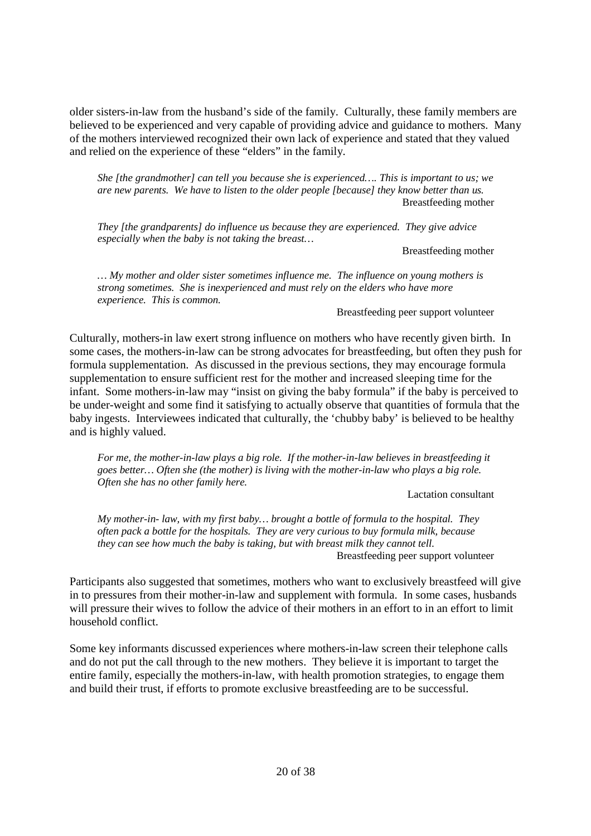older sisters-in-law from the husband's side of the family. Culturally, these family members are believed to be experienced and very capable of providing advice and guidance to mothers. Many of the mothers interviewed recognized their own lack of experience and stated that they valued and relied on the experience of these "elders" in the family.

*She [the grandmother] can tell you because she is experienced…. This is important to us; we are new parents. We have to listen to the older people [because] they know better than us.*  Breastfeeding mother

*They [the grandparents] do influence us because they are experienced. They give advice especially when the baby is not taking the breast…* 

Breastfeeding mother

*… My mother and older sister sometimes influence me. The influence on young mothers is strong sometimes. She is inexperienced and must rely on the elders who have more experience. This is common.* 

Breastfeeding peer support volunteer

Culturally, mothers-in law exert strong influence on mothers who have recently given birth. In some cases, the mothers-in-law can be strong advocates for breastfeeding, but often they push for formula supplementation. As discussed in the previous sections, they may encourage formula supplementation to ensure sufficient rest for the mother and increased sleeping time for the infant. Some mothers-in-law may "insist on giving the baby formula" if the baby is perceived to be under-weight and some find it satisfying to actually observe that quantities of formula that the baby ingests. Interviewees indicated that culturally, the 'chubby baby' is believed to be healthy and is highly valued.

*For me, the mother-in-law plays a big role. If the mother-in-law believes in breastfeeding it goes better… Often she (the mother) is living with the mother-in-law who plays a big role. Often she has no other family here.* 

Lactation consultant

*My mother-in- law, with my first baby… brought a bottle of formula to the hospital. They often pack a bottle for the hospitals. They are very curious to buy formula milk, because they can see how much the baby is taking, but with breast milk they cannot tell.*  Breastfeeding peer support volunteer

Participants also suggested that sometimes, mothers who want to exclusively breastfeed will give in to pressures from their mother-in-law and supplement with formula. In some cases, husbands will pressure their wives to follow the advice of their mothers in an effort to in an effort to limit household conflict.

Some key informants discussed experiences where mothers-in-law screen their telephone calls and do not put the call through to the new mothers. They believe it is important to target the entire family, especially the mothers-in-law, with health promotion strategies, to engage them and build their trust, if efforts to promote exclusive breastfeeding are to be successful.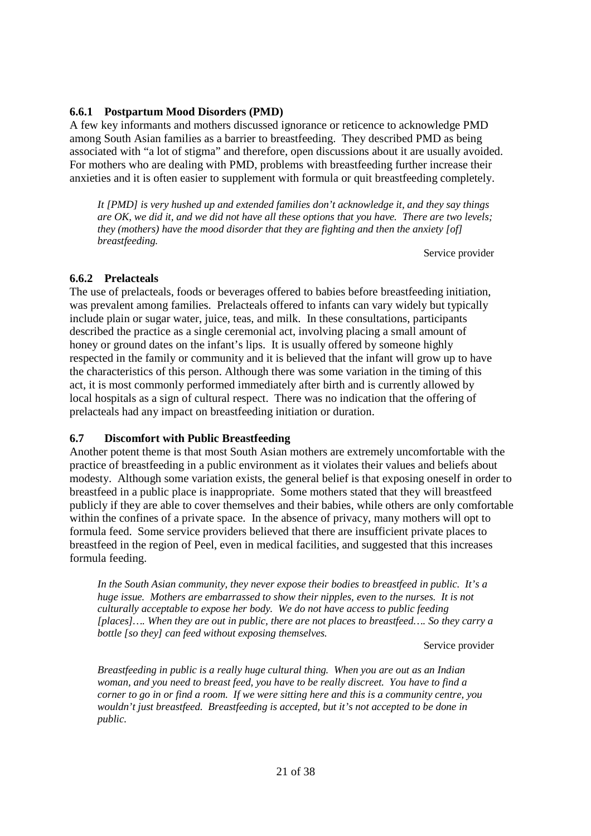#### **6.6.1 Postpartum Mood Disorders (PMD)**

A few key informants and mothers discussed ignorance or reticence to acknowledge PMD among South Asian families as a barrier to breastfeeding. They described PMD as being associated with "a lot of stigma" and therefore, open discussions about it are usually avoided. For mothers who are dealing with PMD, problems with breastfeeding further increase their anxieties and it is often easier to supplement with formula or quit breastfeeding completely.

*It [PMD] is very hushed up and extended families don't acknowledge it, and they say things are OK, we did it, and we did not have all these options that you have. There are two levels; they (mothers) have the mood disorder that they are fighting and then the anxiety [of] breastfeeding.* 

Service provider

#### **6.6.2 Prelacteals**

The use of prelacteals, foods or beverages offered to babies before breastfeeding initiation, was prevalent among families. Prelacteals offered to infants can vary widely but typically include plain or sugar water, juice, teas, and milk. In these consultations, participants described the practice as a single ceremonial act, involving placing a small amount of honey or ground dates on the infant's lips. It is usually offered by someone highly respected in the family or community and it is believed that the infant will grow up to have the characteristics of this person. Although there was some variation in the timing of this act, it is most commonly performed immediately after birth and is currently allowed by local hospitals as a sign of cultural respect. There was no indication that the offering of prelacteals had any impact on breastfeeding initiation or duration.

# **6.7 Discomfort with Public Breastfeeding**

Another potent theme is that most South Asian mothers are extremely uncomfortable with the practice of breastfeeding in a public environment as it violates their values and beliefs about modesty. Although some variation exists, the general belief is that exposing oneself in order to breastfeed in a public place is inappropriate. Some mothers stated that they will breastfeed publicly if they are able to cover themselves and their babies, while others are only comfortable within the confines of a private space. In the absence of privacy, many mothers will opt to formula feed. Some service providers believed that there are insufficient private places to breastfeed in the region of Peel, even in medical facilities, and suggested that this increases formula feeding.

*In the South Asian community, they never expose their bodies to breastfeed in public. It's a huge issue. Mothers are embarrassed to show their nipples, even to the nurses. It is not culturally acceptable to expose her body. We do not have access to public feeding [places]…. When they are out in public, there are not places to breastfeed…. So they carry a bottle [so they] can feed without exposing themselves.* 

Service provider

*Breastfeeding in public is a really huge cultural thing. When you are out as an Indian woman, and you need to breast feed, you have to be really discreet. You have to find a corner to go in or find a room. If we were sitting here and this is a community centre, you wouldn't just breastfeed. Breastfeeding is accepted, but it's not accepted to be done in public.*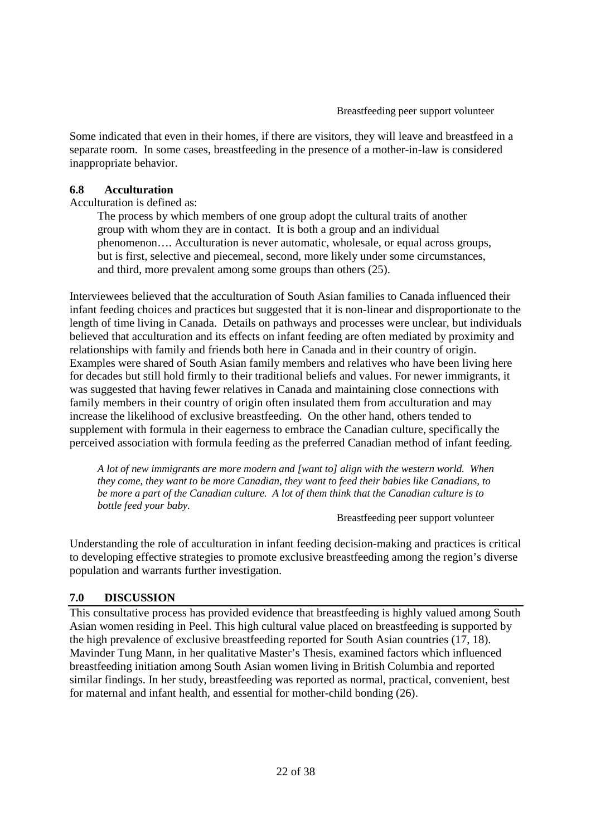Some indicated that even in their homes, if there are visitors, they will leave and breastfeed in a separate room. In some cases, breastfeeding in the presence of a mother-in-law is considered inappropriate behavior.

#### **6.8 Acculturation**

Acculturation is defined as:

The process by which members of one group adopt the cultural traits of another group with whom they are in contact. It is both a group and an individual phenomenon…. Acculturation is never automatic, wholesale, or equal across groups, but is first, selective and piecemeal, second, more likely under some circumstances, and third, more prevalent among some groups than others (25).

Interviewees believed that the acculturation of South Asian families to Canada influenced their infant feeding choices and practices but suggested that it is non-linear and disproportionate to the length of time living in Canada. Details on pathways and processes were unclear, but individuals believed that acculturation and its effects on infant feeding are often mediated by proximity and relationships with family and friends both here in Canada and in their country of origin. Examples were shared of South Asian family members and relatives who have been living here for decades but still hold firmly to their traditional beliefs and values. For newer immigrants, it was suggested that having fewer relatives in Canada and maintaining close connections with family members in their country of origin often insulated them from acculturation and may increase the likelihood of exclusive breastfeeding. On the other hand, others tended to supplement with formula in their eagerness to embrace the Canadian culture, specifically the perceived association with formula feeding as the preferred Canadian method of infant feeding.

*A lot of new immigrants are more modern and [want to] align with the western world. When they come, they want to be more Canadian, they want to feed their babies like Canadians, to be more a part of the Canadian culture. A lot of them think that the Canadian culture is to bottle feed your baby.* 

Breastfeeding peer support volunteer

Understanding the role of acculturation in infant feeding decision-making and practices is critical to developing effective strategies to promote exclusive breastfeeding among the region's diverse population and warrants further investigation.

#### **7.0 DISCUSSION**

This consultative process has provided evidence that breastfeeding is highly valued among South Asian women residing in Peel. This high cultural value placed on breastfeeding is supported by the high prevalence of exclusive breastfeeding reported for South Asian countries (17, 18). Mavinder Tung Mann, in her qualitative Master's Thesis, examined factors which influenced breastfeeding initiation among South Asian women living in British Columbia and reported similar findings. In her study, breastfeeding was reported as normal, practical, convenient, best for maternal and infant health, and essential for mother-child bonding (26).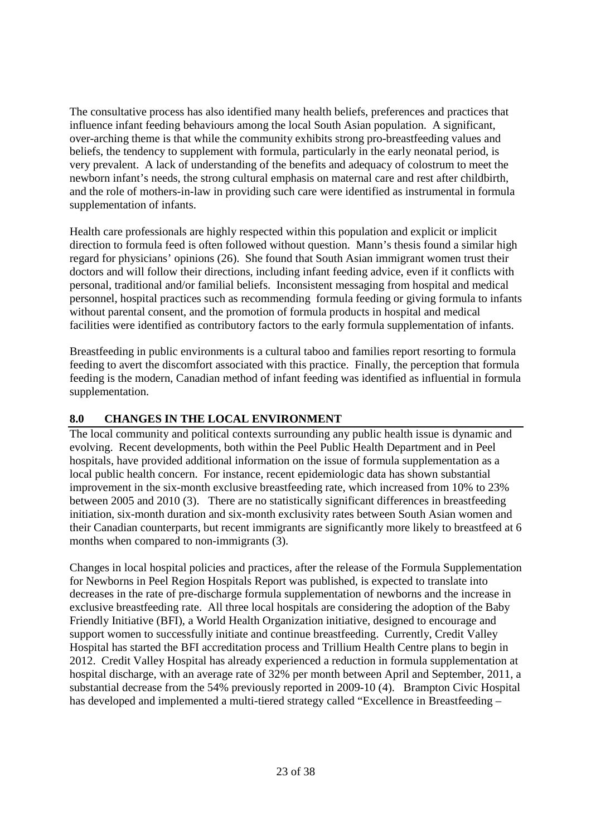The consultative process has also identified many health beliefs, preferences and practices that influence infant feeding behaviours among the local South Asian population. A significant, over-arching theme is that while the community exhibits strong pro-breastfeeding values and beliefs, the tendency to supplement with formula, particularly in the early neonatal period, is very prevalent. A lack of understanding of the benefits and adequacy of colostrum to meet the newborn infant's needs, the strong cultural emphasis on maternal care and rest after childbirth, and the role of mothers-in-law in providing such care were identified as instrumental in formula supplementation of infants.

Health care professionals are highly respected within this population and explicit or implicit direction to formula feed is often followed without question. Mann's thesis found a similar high regard for physicians' opinions (26). She found that South Asian immigrant women trust their doctors and will follow their directions, including infant feeding advice, even if it conflicts with personal, traditional and/or familial beliefs. Inconsistent messaging from hospital and medical personnel, hospital practices such as recommending formula feeding or giving formula to infants without parental consent, and the promotion of formula products in hospital and medical facilities were identified as contributory factors to the early formula supplementation of infants.

Breastfeeding in public environments is a cultural taboo and families report resorting to formula feeding to avert the discomfort associated with this practice. Finally, the perception that formula feeding is the modern, Canadian method of infant feeding was identified as influential in formula supplementation.

# **8.0 CHANGES IN THE LOCAL ENVIRONMENT**

The local community and political contexts surrounding any public health issue is dynamic and evolving. Recent developments, both within the Peel Public Health Department and in Peel hospitals, have provided additional information on the issue of formula supplementation as a local public health concern. For instance, recent epidemiologic data has shown substantial improvement in the six-month exclusive breastfeeding rate, which increased from 10% to 23% between 2005 and 2010 (3). There are no statistically significant differences in breastfeeding initiation, six-month duration and six-month exclusivity rates between South Asian women and their Canadian counterparts, but recent immigrants are significantly more likely to breastfeed at 6 months when compared to non-immigrants (3).

Changes in local hospital policies and practices, after the release of the Formula Supplementation for Newborns in Peel Region Hospitals Report was published, is expected to translate into decreases in the rate of pre-discharge formula supplementation of newborns and the increase in exclusive breastfeeding rate. All three local hospitals are considering the adoption of the Baby Friendly Initiative (BFI), a World Health Organization initiative, designed to encourage and support women to successfully initiate and continue breastfeeding. Currently, Credit Valley Hospital has started the BFI accreditation process and Trillium Health Centre plans to begin in 2012. Credit Valley Hospital has already experienced a reduction in formula supplementation at hospital discharge, with an average rate of 32% per month between April and September, 2011, a substantial decrease from the 54% previously reported in 2009-10 (4). Brampton Civic Hospital has developed and implemented a multi-tiered strategy called "Excellence in Breastfeeding –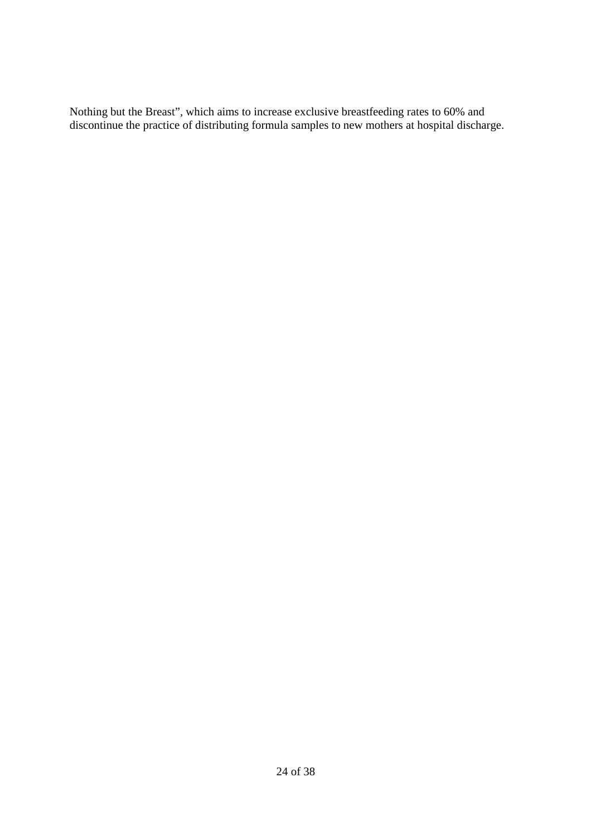Nothing but the Breast", which aims to increase exclusive breastfeeding rates to 60% and discontinue the practice of distributing formula samples to new mothers at hospital discharge.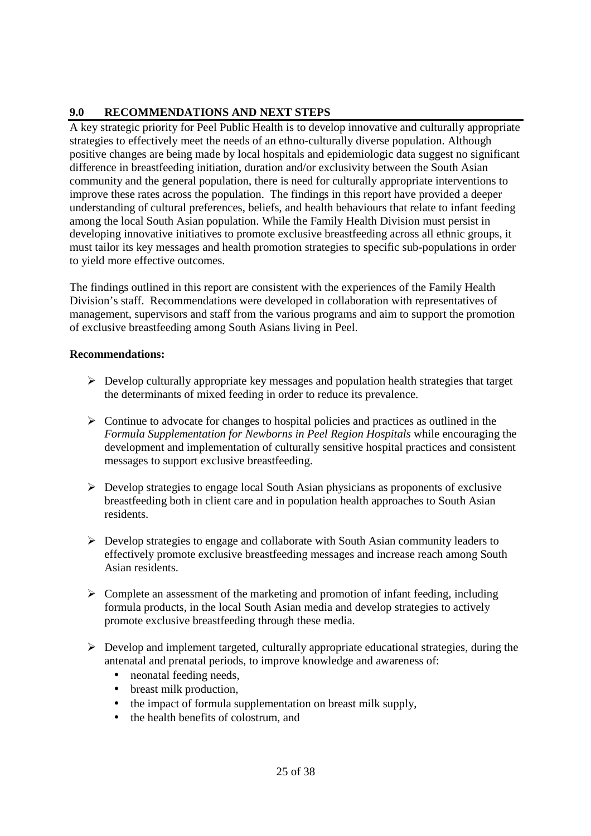# **9.0 RECOMMENDATIONS AND NEXT STEPS**

A key strategic priority for Peel Public Health is to develop innovative and culturally appropriate strategies to effectively meet the needs of an ethno-culturally diverse population. Although positive changes are being made by local hospitals and epidemiologic data suggest no significant difference in breastfeeding initiation, duration and/or exclusivity between the South Asian community and the general population, there is need for culturally appropriate interventions to improve these rates across the population. The findings in this report have provided a deeper understanding of cultural preferences, beliefs, and health behaviours that relate to infant feeding among the local South Asian population. While the Family Health Division must persist in developing innovative initiatives to promote exclusive breastfeeding across all ethnic groups, it must tailor its key messages and health promotion strategies to specific sub-populations in order to yield more effective outcomes.

The findings outlined in this report are consistent with the experiences of the Family Health Division's staff. Recommendations were developed in collaboration with representatives of management, supervisors and staff from the various programs and aim to support the promotion of exclusive breastfeeding among South Asians living in Peel.

# **Recommendations:**

- Develop culturally appropriate key messages and population health strategies that target the determinants of mixed feeding in order to reduce its prevalence.
- > Continue to advocate for changes to hospital policies and practices as outlined in the *Formula Supplementation for Newborns in Peel Region Hospitals* while encouraging the development and implementation of culturally sensitive hospital practices and consistent messages to support exclusive breastfeeding.
- Develop strategies to engage local South Asian physicians as proponents of exclusive breastfeeding both in client care and in population health approaches to South Asian residents.
- > Develop strategies to engage and collaborate with South Asian community leaders to effectively promote exclusive breastfeeding messages and increase reach among South Asian residents.
- > Complete an assessment of the marketing and promotion of infant feeding, including formula products, in the local South Asian media and develop strategies to actively promote exclusive breastfeeding through these media.
- Develop and implement targeted, culturally appropriate educational strategies, during the antenatal and prenatal periods, to improve knowledge and awareness of:
	- neonatal feeding needs,
	- breast milk production,
	- the impact of formula supplementation on breast milk supply,
	- the health benefits of colostrum, and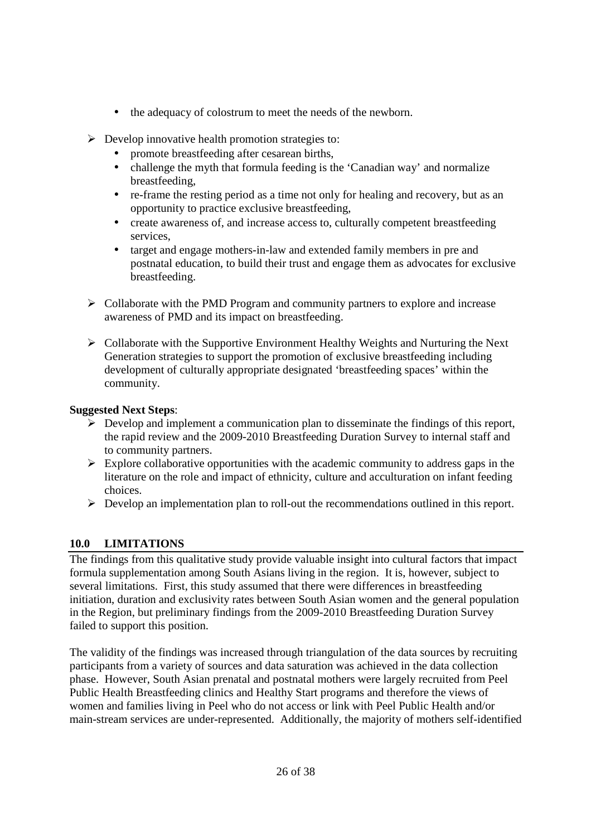- the adequacy of colostrum to meet the needs of the newborn.
- Develop innovative health promotion strategies to:
	- promote breastfeeding after cesarean births,
	- challenge the myth that formula feeding is the 'Canadian way' and normalize breastfeeding,
	- re-frame the resting period as a time not only for healing and recovery, but as an opportunity to practice exclusive breastfeeding,
	- create awareness of, and increase access to, culturally competent breastfeeding services,
	- target and engage mothers-in-law and extended family members in pre and postnatal education, to build their trust and engage them as advocates for exclusive breastfeeding.
- > Collaborate with the PMD Program and community partners to explore and increase awareness of PMD and its impact on breastfeeding.
- > Collaborate with the Supportive Environment Healthy Weights and Nurturing the Next Generation strategies to support the promotion of exclusive breastfeeding including development of culturally appropriate designated 'breastfeeding spaces' within the community.

# **Suggested Next Steps**:

- $\triangleright$  Develop and implement a communication plan to disseminate the findings of this report, the rapid review and the 2009-2010 Breastfeeding Duration Survey to internal staff and to community partners.
- > Explore collaborative opportunities with the academic community to address gaps in the literature on the role and impact of ethnicity, culture and acculturation on infant feeding choices.
- Develop an implementation plan to roll-out the recommendations outlined in this report.

# **10.0 LIMITATIONS**

The findings from this qualitative study provide valuable insight into cultural factors that impact formula supplementation among South Asians living in the region. It is, however, subject to several limitations. First, this study assumed that there were differences in breastfeeding initiation, duration and exclusivity rates between South Asian women and the general population in the Region, but preliminary findings from the 2009-2010 Breastfeeding Duration Survey failed to support this position.

The validity of the findings was increased through triangulation of the data sources by recruiting participants from a variety of sources and data saturation was achieved in the data collection phase. However, South Asian prenatal and postnatal mothers were largely recruited from Peel Public Health Breastfeeding clinics and Healthy Start programs and therefore the views of women and families living in Peel who do not access or link with Peel Public Health and/or main-stream services are under-represented. Additionally, the majority of mothers self-identified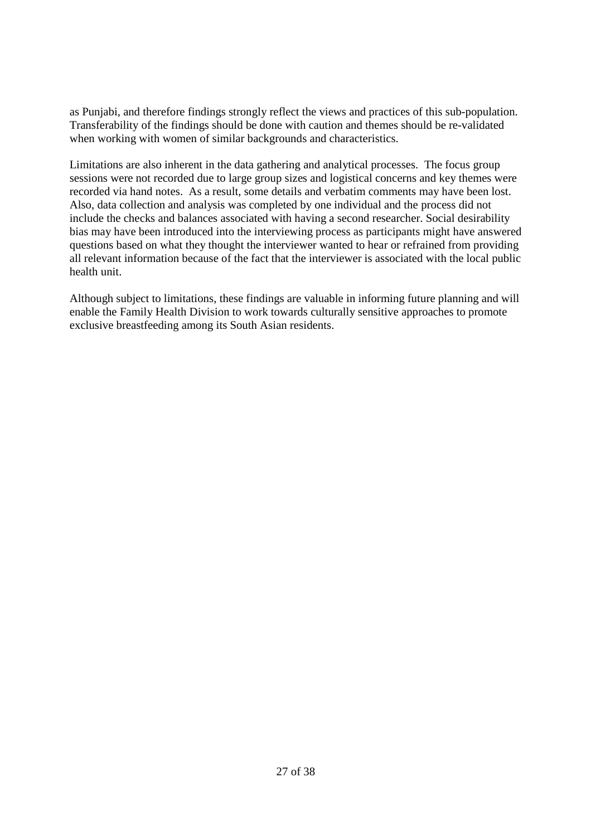as Punjabi, and therefore findings strongly reflect the views and practices of this sub-population. Transferability of the findings should be done with caution and themes should be re-validated when working with women of similar backgrounds and characteristics.

Limitations are also inherent in the data gathering and analytical processes. The focus group sessions were not recorded due to large group sizes and logistical concerns and key themes were recorded via hand notes. As a result, some details and verbatim comments may have been lost. Also, data collection and analysis was completed by one individual and the process did not include the checks and balances associated with having a second researcher. Social desirability bias may have been introduced into the interviewing process as participants might have answered questions based on what they thought the interviewer wanted to hear or refrained from providing all relevant information because of the fact that the interviewer is associated with the local public health unit.

Although subject to limitations, these findings are valuable in informing future planning and will enable the Family Health Division to work towards culturally sensitive approaches to promote exclusive breastfeeding among its South Asian residents.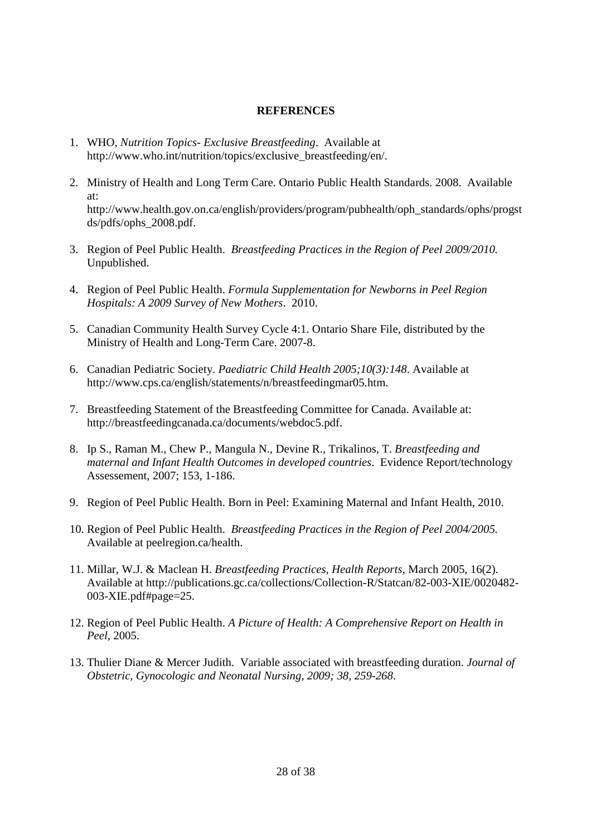#### **REFERENCES**

- 1. WHO, *Nutrition Topics- Exclusive Breastfeeding*. Available at http://www.who.int/nutrition/topics/exclusive\_breastfeeding/en/.
- 2. Ministry of Health and Long Term Care. Ontario Public Health Standards. 2008. Available at: http://www.health.gov.on.ca/english/providers/program/pubhealth/oph\_standards/ophs/progst ds/pdfs/ophs\_2008.pdf.
- 3. Region of Peel Public Health. *Breastfeeding Practices in the Region of Peel 2009/2010.* Unpublished.
- 4. Region of Peel Public Health. *Formula Supplementation for Newborns in Peel Region Hospitals: A 2009 Survey of New Mothers*. 2010.
- 5. Canadian Community Health Survey Cycle 4:1. Ontario Share File, distributed by the Ministry of Health and Long-Term Care. 2007-8.
- 6. Canadian Pediatric Society. *Paediatric Child Health 2005;10(3):148*. Available at http://www.cps.ca/english/statements/n/breastfeedingmar05.htm.
- 7. Breastfeeding Statement of the Breastfeeding Committee for Canada. Available at: http://breastfeedingcanada.ca/documents/webdoc5.pdf.
- 8. Ip S., Raman M., Chew P., Mangula N., Devine R., Trikalinos, T. *Breastfeeding and maternal and Infant Health Outcomes in developed countries*. Evidence Report/technology Assessement, 2007; 153, 1-186.
- 9. Region of Peel Public Health. Born in Peel: Examining Maternal and Infant Health, 2010.
- 10. Region of Peel Public Health. *Breastfeeding Practices in the Region of Peel 2004/2005.* Available at peelregion.ca/health.
- 11. Millar, W.J. & Maclean H. *Breastfeeding Practices, Health Reports*, March 2005, 16(2). Available at http://publications.gc.ca/collections/Collection-R/Statcan/82-003-XIE/0020482- 003-XIE.pdf#page=25.
- 12. Region of Peel Public Health. *A Picture of Health: A Comprehensive Report on Health in Peel*, 2005.
- 13. Thulier Diane & Mercer Judith. Variable associated with breastfeeding duration. *Journal of Obstetric, Gynocologic and Neonatal Nursing, 2009; 38, 259-268*.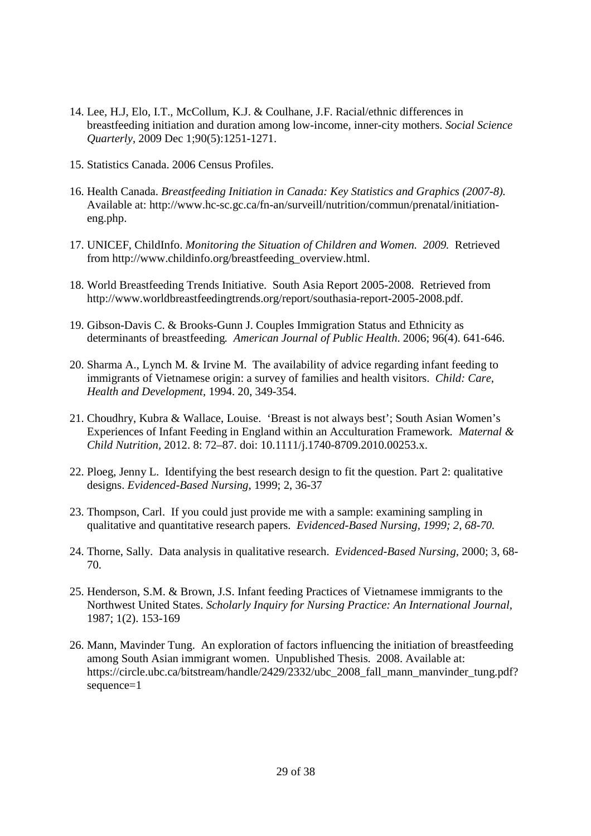- 14. Lee, H.J, Elo, I.T., McCollum, K.J. & Coulhane, J.F. Racial/ethnic differences in breastfeeding initiation and duration among low-income, inner-city mothers. *Social Science Quarterly*, 2009 Dec 1;90(5):1251-1271.
- 15. Statistics Canada. 2006 Census Profiles.
- 16. Health Canada. *Breastfeeding Initiation in Canada: Key Statistics and Graphics (2007-8).* Available at: http://www.hc-sc.gc.ca/fn-an/surveill/nutrition/commun/prenatal/initiationeng.php.
- 17. UNICEF, ChildInfo. *Monitoring the Situation of Children and Women. 2009.* Retrieved from http://www.childinfo.org/breastfeeding\_overview.html.
- 18. World Breastfeeding Trends Initiative. South Asia Report 2005-2008. Retrieved from http://www.worldbreastfeedingtrends.org/report/southasia-report-2005-2008.pdf.
- 19. Gibson-Davis C. & Brooks-Gunn J. Couples Immigration Status and Ethnicity as determinants of breastfeeding*. American Journal of Public Health*. 2006; 96(4). 641-646.
- 20. Sharma A., Lynch M. & Irvine M. The availability of advice regarding infant feeding to immigrants of Vietnamese origin: a survey of families and health visitors. *Child: Care, Health and Development,* 1994. 20, 349-354.
- 21. Choudhry, Kubra & Wallace, Louise. 'Breast is not always best'; South Asian Women's Experiences of Infant Feeding in England within an Acculturation Framework*. Maternal & Child Nutrition,* 2012. 8: 72–87. doi: 10.1111/j.1740-8709.2010.00253.x.
- 22. Ploeg, Jenny L. Identifying the best research design to fit the question. Part 2: qualitative designs. *Evidenced-Based Nursing*, 1999; 2, 36-37
- 23. Thompson, Carl. If you could just provide me with a sample: examining sampling in qualitative and quantitative research papers. *Evidenced-Based Nursing, 1999; 2, 68-70.*
- 24. Thorne, Sally. Data analysis in qualitative research. *Evidenced-Based Nursing,* 2000; 3, 68- 70.
- 25. Henderson, S.M. & Brown, J.S. Infant feeding Practices of Vietnamese immigrants to the Northwest United States. *Scholarly Inquiry for Nursing Practice: An International Journal,* 1987; 1(2). 153-169
- 26. Mann, Mavinder Tung. An exploration of factors influencing the initiation of breastfeeding among South Asian immigrant women. Unpublished Thesis. 2008. Available at: https://circle.ubc.ca/bitstream/handle/2429/2332/ubc\_2008\_fall\_mann\_manvinder\_tung.pdf? sequence=1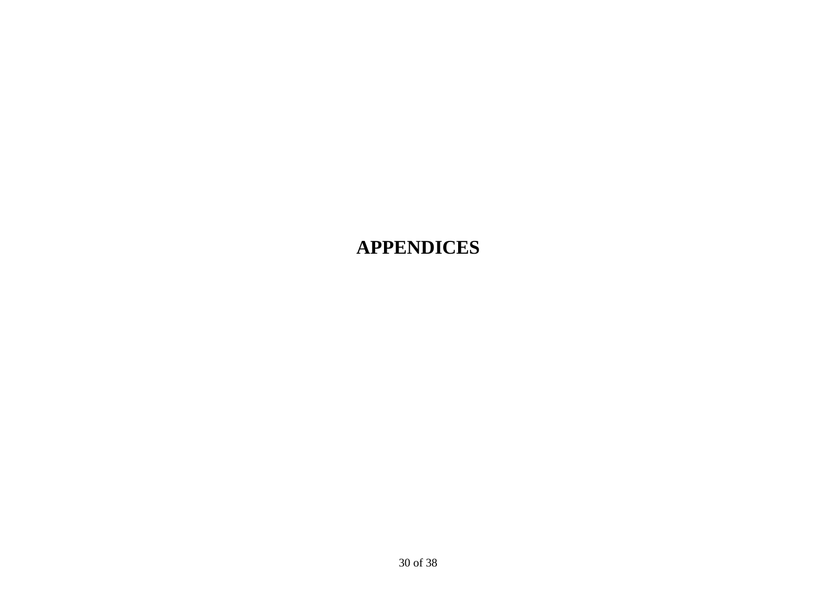# **APPENDICES**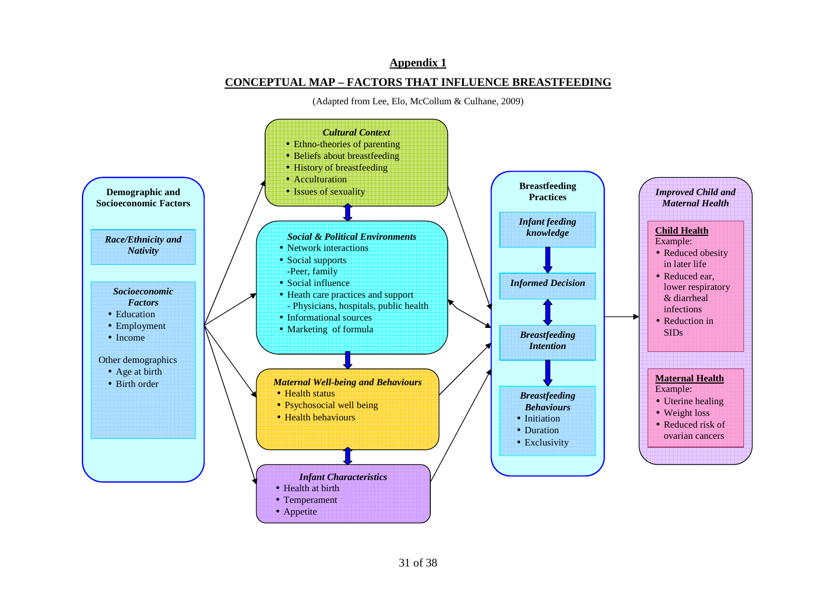#### **Appendix 1**

#### **CONCEPTUAL MAP – FACTORS THAT INFLUENCE BREASTFEEDING**

(Adapted from Lee, Elo, McCollum & Culhane, 2009)

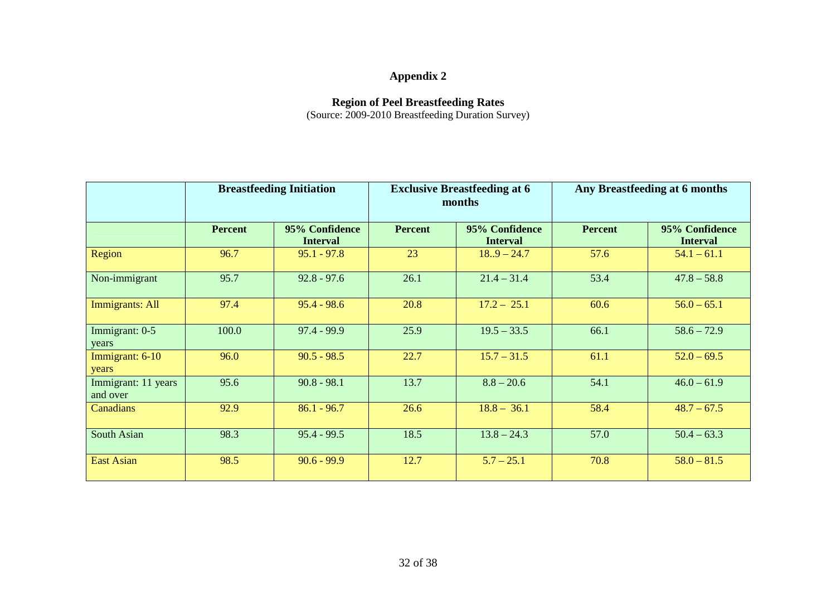# **Appendix 2**

**Region of Peel Breastfeeding Rates**  (Source: 2009-2010 Breastfeeding Duration Survey)

|                                 | <b>Breastfeeding Initiation</b> |                                   | <b>Exclusive Breastfeeding at 6</b><br>months |                                   | Any Breastfeeding at 6 months |                                   |
|---------------------------------|---------------------------------|-----------------------------------|-----------------------------------------------|-----------------------------------|-------------------------------|-----------------------------------|
|                                 | <b>Percent</b>                  | 95% Confidence<br><b>Interval</b> | <b>Percent</b>                                | 95% Confidence<br><b>Interval</b> | <b>Percent</b>                | 95% Confidence<br><b>Interval</b> |
| Region                          | 96.7                            | $95.1 - 97.8$                     | 23                                            | $18.9 - 24.7$                     | 57.6                          | $54.1 - 61.1$                     |
| Non-immigrant                   | 95.7                            | $92.8 - 97.6$                     | 26.1                                          | $21.4 - 31.4$                     | 53.4                          | $47.8 - 58.8$                     |
| Immigrants: All                 | 97.4                            | $95.4 - 98.6$                     | 20.8                                          | $17.2 - 25.1$                     | 60.6                          | $56.0 - 65.1$                     |
| Immigrant: 0-5<br>years         | 100.0                           | $97.4 - 99.9$                     | 25.9                                          | $19.5 - 33.5$                     | 66.1                          | $58.6 - 72.9$                     |
| Immigrant: 6-10<br>years        | 96.0                            | $90.5 - 98.5$                     | 22.7                                          | $15.7 - 31.5$                     | 61.1                          | $52.0 - 69.5$                     |
| Immigrant: 11 years<br>and over | 95.6                            | $90.8 - 98.1$                     | 13.7                                          | $8.8 - 20.6$                      | 54.1                          | $46.0 - 61.9$                     |
| Canadians                       | 92.9                            | $86.1 - 96.7$                     | 26.6                                          | $18.8 - 36.1$                     | 58.4                          | $48.7 - 67.5$                     |
| South Asian                     | 98.3                            | $95.4 - 99.5$                     | 18.5                                          | $13.8 - 24.3$                     | 57.0                          | $50.4 - 63.3$                     |
| <b>East Asian</b>               | 98.5                            | $90.6 - 99.9$                     | 12.7                                          | $5.7 - 25.1$                      | 70.8                          | $58.0 - 81.5$                     |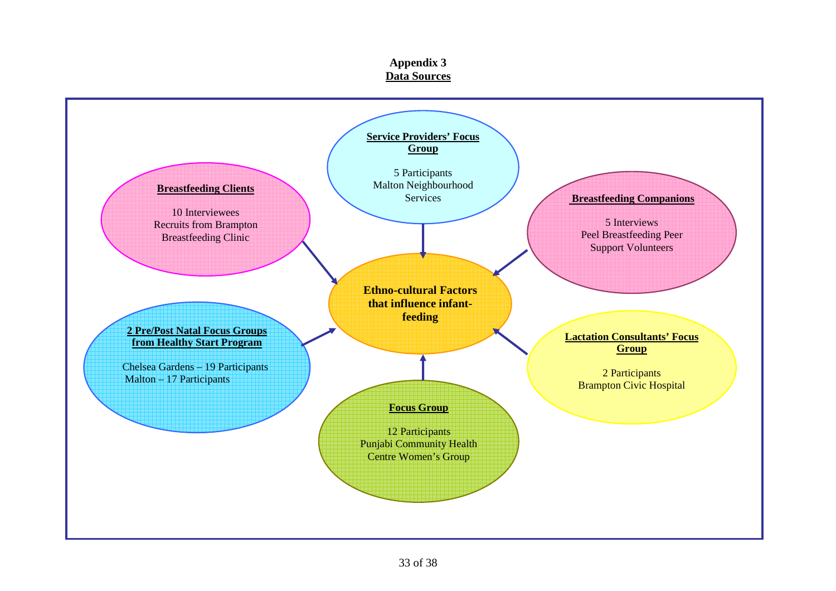#### **Appendix 3 Data Sources**

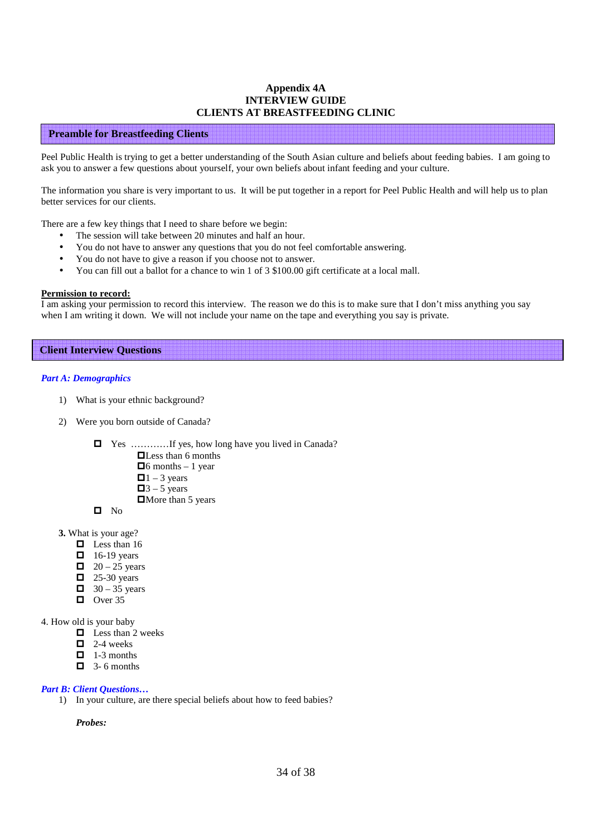#### **Appendix 4A INTERVIEW GUIDE CLIENTS AT BREASTFEEDING CLINIC**

#### **Preamble for Breastfeeding Clients**

Peel Public Health is trying to get a better understanding of the South Asian culture and beliefs about feeding babies. I am going to ask you to answer a few questions about yourself, your own beliefs about infant feeding and your culture.

The information you share is very important to us. It will be put together in a report for Peel Public Health and will help us to plan better services for our clients.

There are a few key things that I need to share before we begin:

- The session will take between 20 minutes and half an hour.
- You do not have to answer any questions that you do not feel comfortable answering.
- You do not have to give a reason if you choose not to answer.
- You can fill out a ballot for a chance to win 1 of 3 \$100.00 gift certificate at a local mall.

#### **Permission to record:**

I am asking your permission to record this interview. The reason we do this is to make sure that I don't miss anything you say when I am writing it down. We will not include your name on the tape and everything you say is private.

#### **Client Interview Questions**

#### *Part A: Demographics*

- 1) What is your ethnic background?
- 2) Were you born outside of Canada?
	- Yes …………If yes, how long have you lived in Canada?
		- **Less than 6 months**
		- $\Box$ 6 months 1 year
		- $\Box$ 1 3 years
		- $\Box$ 3 5 years
		- $\Box$  More than 5 years

 $\blacksquare$  No

- **3.** What is your age?
	- $\Box$  Less than 16
	- $\Box$  16-19 years
	- $\Box$  20 25 years
	- $\Box$  25-30 years
	- $\Box$  30 35 years
	- $\Box$  Over 35

#### 4. How old is your baby

- $\Box$  Less than 2 weeks
- $\Box$  2-4 weeks
- $\Box$  1-3 months
- $\Box$  3-6 months

#### *Part B: Client Questions…*

1) In your culture, are there special beliefs about how to feed babies?

*Probes:*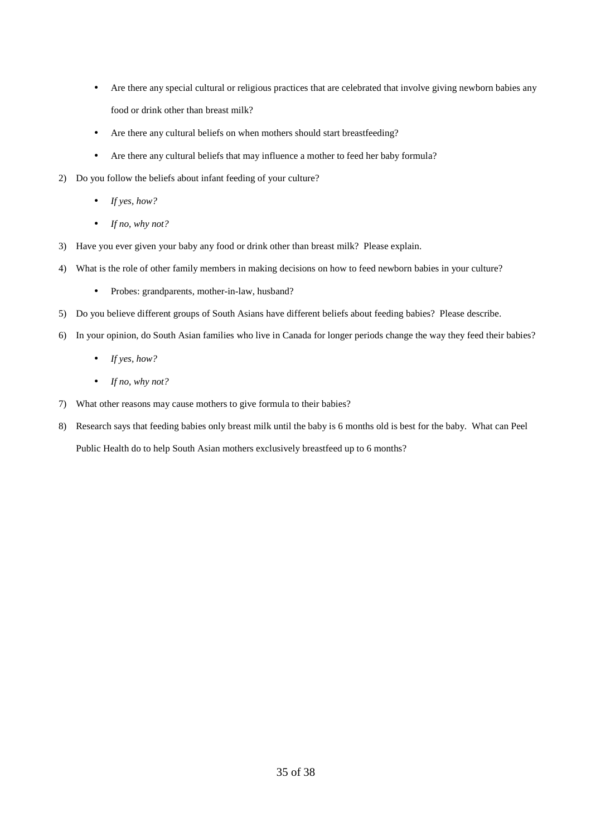- Are there any special cultural or religious practices that are celebrated that involve giving newborn babies any food or drink other than breast milk?
- Are there any cultural beliefs on when mothers should start breastfeeding?
- Are there any cultural beliefs that may influence a mother to feed her baby formula?
- 2) Do you follow the beliefs about infant feeding of your culture?
	- *If yes, how?*
	- *If no, why not?*
- 3) Have you ever given your baby any food or drink other than breast milk? Please explain.
- 4) What is the role of other family members in making decisions on how to feed newborn babies in your culture?
	- Probes: grandparents, mother-in-law, husband?
- 5) Do you believe different groups of South Asians have different beliefs about feeding babies? Please describe.
- 6) In your opinion, do South Asian families who live in Canada for longer periods change the way they feed their babies?
	- *If yes, how?*
	- *If no, why not?*
- 7) What other reasons may cause mothers to give formula to their babies?
- 8) Research says that feeding babies only breast milk until the baby is 6 months old is best for the baby. What can Peel Public Health do to help South Asian mothers exclusively breastfeed up to 6 months?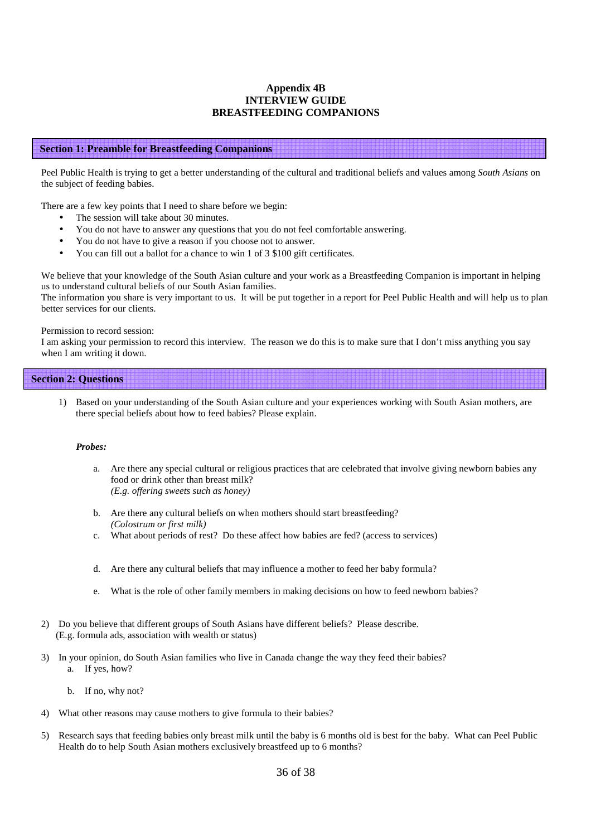#### **Appendix 4B INTERVIEW GUIDE BREASTFEEDING COMPANIONS**

#### **Section 1: Preamble for Breastfeeding Companions**

Peel Public Health is trying to get a better understanding of the cultural and traditional beliefs and values among *South Asians* on the subject of feeding babies.

There are a few key points that I need to share before we begin:

- The session will take about 30 minutes.
- You do not have to answer any questions that you do not feel comfortable answering.
- You do not have to give a reason if you choose not to answer.
- You can fill out a ballot for a chance to win 1 of 3 \$100 gift certificates.

We believe that your knowledge of the South Asian culture and your work as a Breastfeeding Companion is important in helping us to understand cultural beliefs of our South Asian families.

The information you share is very important to us. It will be put together in a report for Peel Public Health and will help us to plan better services for our clients.

#### Permission to record session:

I am asking your permission to record this interview. The reason we do this is to make sure that I don't miss anything you say when I am writing it down.

#### **Section 2: Questions**

1) Based on your understanding of the South Asian culture and your experiences working with South Asian mothers, are there special beliefs about how to feed babies? Please explain.

#### *Probes:*

- a. Are there any special cultural or religious practices that are celebrated that involve giving newborn babies any food or drink other than breast milk? *(E.g. offering sweets such as honey)*
- b. Are there any cultural beliefs on when mothers should start breastfeeding? *(Colostrum or first milk)*
- c. What about periods of rest? Do these affect how babies are fed? (access to services)
- d. Are there any cultural beliefs that may influence a mother to feed her baby formula?
- e. What is the role of other family members in making decisions on how to feed newborn babies?
- 2) Do you believe that different groups of South Asians have different beliefs? Please describe. (E.g. formula ads, association with wealth or status)
- 3) In your opinion, do South Asian families who live in Canada change the way they feed their babies? a. If yes, how?
	- b. If no, why not?
- 4) What other reasons may cause mothers to give formula to their babies?
- 5) Research says that feeding babies only breast milk until the baby is 6 months old is best for the baby. What can Peel Public Health do to help South Asian mothers exclusively breastfeed up to 6 months?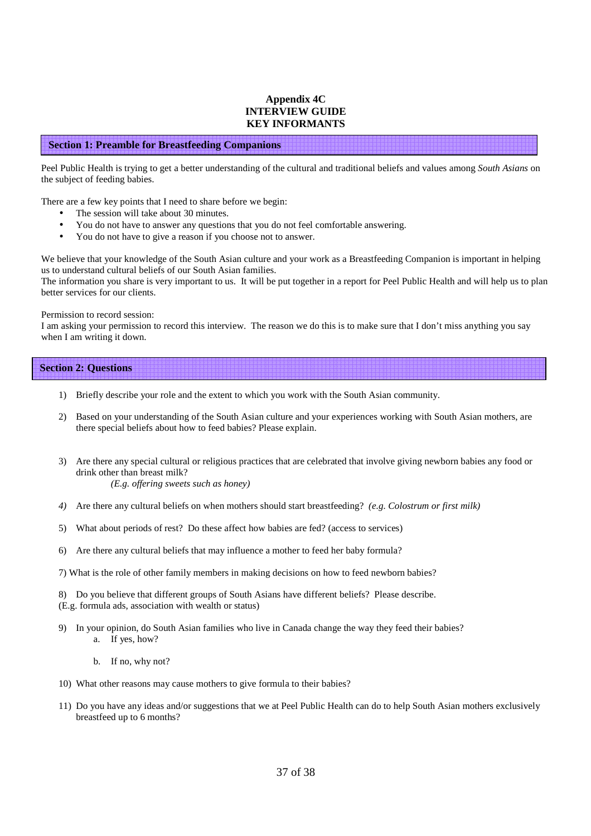#### **Appendix 4C INTERVIEW GUIDE KEY INFORMANTS**

#### **Section 1: Preamble for Breastfeeding Companions**

Peel Public Health is trying to get a better understanding of the cultural and traditional beliefs and values among *South Asians* on the subject of feeding babies.

There are a few key points that I need to share before we begin:

- The session will take about 30 minutes.
- You do not have to answer any questions that you do not feel comfortable answering.
- You do not have to give a reason if you choose not to answer.

We believe that your knowledge of the South Asian culture and your work as a Breastfeeding Companion is important in helping us to understand cultural beliefs of our South Asian families.

The information you share is very important to us. It will be put together in a report for Peel Public Health and will help us to plan better services for our clients.

#### Permission to record session:

I am asking your permission to record this interview. The reason we do this is to make sure that I don't miss anything you say when I am writing it down.

#### **Section 2: Questions**

- 1) Briefly describe your role and the extent to which you work with the South Asian community.
- 2) Based on your understanding of the South Asian culture and your experiences working with South Asian mothers, are there special beliefs about how to feed babies? Please explain.
- 3) Are there any special cultural or religious practices that are celebrated that involve giving newborn babies any food or drink other than breast milk? *(E.g. offering sweets such as honey)*
- *4)* Are there any cultural beliefs on when mothers should start breastfeeding? *(e.g. Colostrum or first milk)*
- 5) What about periods of rest? Do these affect how babies are fed? (access to services)
- 6) Are there any cultural beliefs that may influence a mother to feed her baby formula?
- 7) What is the role of other family members in making decisions on how to feed newborn babies?

8) Do you believe that different groups of South Asians have different beliefs? Please describe. (E.g. formula ads, association with wealth or status)

- 9) In your opinion, do South Asian families who live in Canada change the way they feed their babies? a. If yes, how?
	- b. If no, why not?
- 10) What other reasons may cause mothers to give formula to their babies?
- 11) Do you have any ideas and/or suggestions that we at Peel Public Health can do to help South Asian mothers exclusively breastfeed up to 6 months?